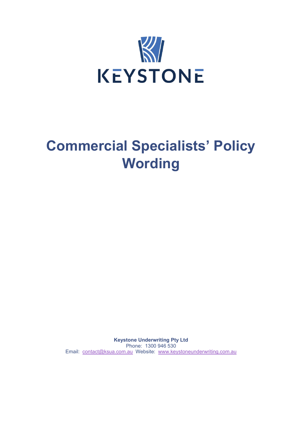

# **Commercial Specialists' Policy Wording**

**Keystone Underwriting Pty Ltd** Phone: 1300 946 530 Email: [contact@ksua.com.au](mailto:contact@ksua.com.au) Website: [www.keystoneunderwriting.com.au](http://www.keystoneunderwriting.com.au/)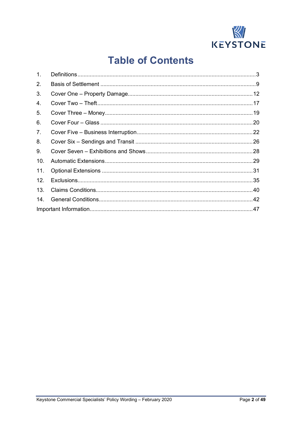

# **Table of Contents**

| $\mathbf{1}$ .  |  |  |
|-----------------|--|--|
| 2.              |  |  |
| 3.              |  |  |
| 4.              |  |  |
| 5.              |  |  |
| 6.              |  |  |
| 7.              |  |  |
| 8.              |  |  |
| 9.              |  |  |
| 10.             |  |  |
| 11.             |  |  |
| 12 <sub>1</sub> |  |  |
| 13.             |  |  |
| 14.             |  |  |
|                 |  |  |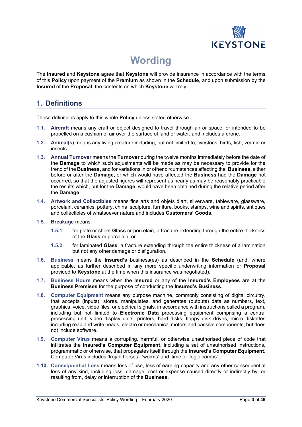

# **Wording**

The **Insured** and **Keystone** agree that **Keystone** will provide insurance in accordance with the terms of this **Policy** upon payment of the **Premium** as shown in the **Schedule**, and upon submission by the **Insured** of the **Proposal**, the contents on which **Keystone** will rely.

# **1. Definitions**

These definitions apply to this whole **Policy** unless stated otherwise.

- **1.1. Aircraft** means any craft or object designed to travel through air or space, or intended to be propelled on a cushion of air over the surface of land or water, and includes a drone.
- **1.2. Animal(s)** means any living creature including, but not limited to, livestock, birds, fish, vermin or insects.
- **1.3. Annual Turnover** means the **Turnover** during the twelve months immediately before the date of the **Damage** to which such adjustments will be made as may be necessary to provide for the trend of the **Business,** and for variations in or other circumstances affecting the **Business,** either before or after the **Damage,** or which would have affected the **Business** had the **Damage** not occurred, so that the adjusted figures will represent as nearly as may be reasonably practicable the results which, but for the **Damage**, would have been obtained during the relative period after the **Damage**.
- **1.4. Artwork and Collectibles** means fine arts and objets d'art, silverware, tableware, glassware, porcelain, ceramics, pottery, china, sculpture, furniture, books, stamps, wine and spirits, antiques and collectibles of whatsoever nature and includes **Customers' Goods**.
- **1.5. Breakage** means:
	- **1.5.1.** for plate or sheet **Glass** or porcelain, a fracture extending through the entire thickness of the **Glass** or porcelain; or
	- **1.5.2.** for laminated **Glass**, a fracture extending through the entire thickness of a lamination but not any other damage or disfiguration.
- **1.6. Business** means the **Insured's** business(es) as described in the **Schedule** (and, where applicable, as further described in any more specific underwriting information or **Proposal** provided to **Keystone** at the time when this insurance was negotiated).
- **1.7. Business Hours** means when the **Insured** or any of the **Insured's Employees** are at the **Business Premises** for the purpose of conducting the **Insured's Business**.
- **1.8. Computer Equipment** means any purpose machine, commonly consisting of digital circuitry, that accepts (inputs), stores, manipulates, and generates (outputs) data as numbers, text, graphics, voice, video files, or electrical signals, in accordance with instructions called a program, including but not limited to **Electronic Data** processing equipment comprising a central processing unit, video display units, printers, hard disks, floppy disk drives, micro diskettes including read and write heads, electro or mechanical motors and passive components, but does not include software.
- **1.9. Computer Virus** means a corrupting, harmful, or otherwise unauthorised piece of code that infiltrates the **Insured's Computer Equipment**, including a set of unauthorised instructions, programmatic or otherwise, that propagates itself through the **Insured's Computer Equipment**. Computer Virus includes 'trojan horses', 'worms' and 'time or 'logic bombs'.
- **1.10. Consequential Loss** means loss of use, loss of earning capacity and any other consequential loss of any kind, including loss, damage, cost or expense caused directly or indirectly by, or resulting from, delay or interruption of the **Business**.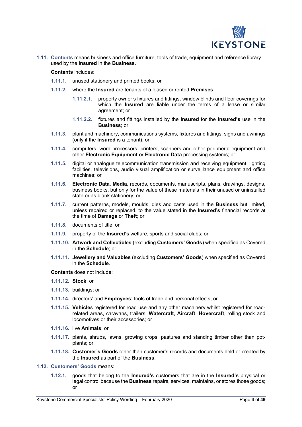

**1.11. Contents** means business and office furniture, tools of trade, equipment and reference library used by the **Insured** in the **Business**.

**Contents** includes:

- **1.11.1.** unused stationery and printed books; or
- **1.11.2.** where the **Insured** are tenants of a leased or rented **Premises**:
	- **1.11.2.1.** property owner's fixtures and fittings, window blinds and floor coverings for which the **Insured** are liable under the terms of a lease or similar agreement; or
	- **1.11.2.2.** fixtures and fittings installed by the **Insured** for the **Insured's** use in the **Business**; or
- **1.11.3.** plant and machinery, communications systems, fixtures and fittings, signs and awnings (only if the **Insured** is a tenant); or
- **1.11.4.** computers, word processors, printers, scanners and other peripheral equipment and other **Electronic Equipment** or **Electronic Data** processing systems; or
- **1.11.5.** digital or analogue telecommunication transmission and receiving equipment, lighting facilities, televisions, audio visual amplification or surveillance equipment and office machines; or
- **1.11.6. Electronic Data**, **Media**, records, documents, manuscripts, plans, drawings, designs, business books, but only for the value of these materials in their unused or uninstalled state or as blank stationery; or
- **1.11.7.** current patterns, models, moulds, dies and casts used in the **Business** but limited, unless repaired or replaced, to the value stated in the **Insured's** financial records at the time of **Damage** or **Theft**; or
- **1.11.8.** documents of title; or
- **1.11.9.** property of the **Insured's** welfare, sports and social clubs; or
- **1.11.10. Artwork and Collectibles** (excluding **Customers' Goods**) when specified as Covered in the **Schedule**; or
- **1.11.11. Jewellery and Valuables** (excluding **Customers' Goods**) when specified as Covered in the **Schedule**.

**Contents** does not include:

- **1.11.12. Stock**; or
- **1.11.13.** buildings; or
- **1.11.14.** directors' and **Employees'** tools of trade and personal effects; or
- **1.11.15. Vehicle**s registered for road use and any other machinery whilst registered for roadrelated areas, caravans, trailers, **Watercraft**, **Aircraft**, **Hovercraft**, rolling stock and locomotives or their accessories; or
- **1.11.16.** live **Animals**; or
- **1.11.17.** plants, shrubs, lawns, growing crops, pastures and standing timber other than potplants; or
- **1.11.18. Customer's Goods** other than customer's records and documents held or created by the **Insured** as part of the **Business**.
- **1.12. Customers' Goods** means:
	- **1.12.1.** goods that belong to the **Insured's** customers that are in the **Insured's** physical or legal control because the **Business** repairs, services, maintains, or stores those goods; or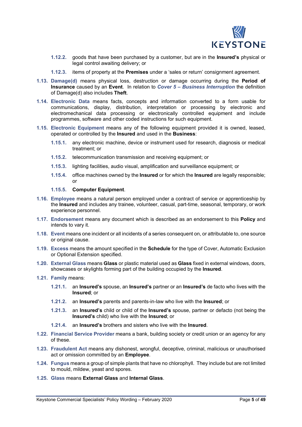

- **1.12.2.** goods that have been purchased by a customer, but are in the **Insured's** physical or legal control awaiting delivery; or
- **1.12.3.** items of property at the **Premises** under a 'sales or return' consignment agreement.
- **1.13. Damage(d)** means physical loss, destruction or damage occurring during the **Period of Insurance** caused by an **Event**. In relation to *Cover 5 – Business Interruption* the definition of Damage(d) also includes **Theft**.
- **1.14. Electronic Data** means facts, concepts and information converted to a form usable for communications, display, distribution, interpretation or processing by electronic and electromechanical data processing or electronically controlled equipment and include programmes, software and other coded instructions for such equipment.
- **1.15. Electronic Equipment** means any of the following equipment provided it is owned, leased, operated or controlled by the **Insured** and used in the **Business**:
	- **1.15.1.** any electronic machine, device or instrument used for research, diagnosis or medical treatment; or
	- **1.15.2.** telecommunication transmission and receiving equipment; or
	- **1.15.3.** lighting facilities, audio visual, amplification and surveillance equipment; or
	- **1.15.4.** office machines owned by the **Insured** or for which the **Insured** are legally responsible; or

#### **1.15.5. Computer Equipment**.

- **1.16. Employee** means a natural person employed under a contract of service or apprenticeship by the **Insured** and includes any trainee, volunteer, casual, part-time, seasonal, temporary, or work experience personnel.
- **1.17. Endorsement** means any document which is described as an endorsement to this **Policy** and intends to vary it.
- **1.18. Event** means one incident or all incidents of a series consequent on, or attributable to, one source or original cause.
- **1.19. Excess** means the amount specified in the **Schedule** for the type of Cover, Automatic Exclusion or Optional Extension specified.
- **1.20. External Glass** means **Glass** or plastic material used as **Glass** fixed in external windows, doors, showcases or skylights forming part of the building occupied by the **Insured**.
- **1.21. Family** means:
	- **1.21.1.** an **Insured's** spouse, an **Insured's** partner or an **Insured's** de facto who lives with the **Insured**; or
	- **1.21.2.** an **Insured's** parents and parents-in-law who live with the **Insured**; or
	- **1.21.3.** an **Insured's** child or child of the **Insured's** spouse, partner or defacto (not being the **Insured's** child) who live with the **Insured**; or
	- **1.21.4.** an **Insured's** brothers and sisters who live with the **Insured**.
- **1.22. Financial Service Provider** means a bank, building society or credit union or an agency for any of these.
- **1.23. Fraudulent Act** means any dishonest, wrongful, deceptive, criminal, malicious or unauthorised act or omission committed by an **Employee**.
- **1.24. Fungus** means a group of simple plants that have no chlorophyll. They include but are not limited to mould, mildew, yeast and spores.
- **1.25. Glass** means **External Glass** and **Internal Glass**.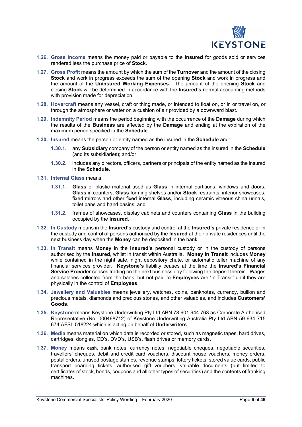

- **1.26. Gross Income** means the money paid or payable to the **Insured** for goods sold or services rendered less the purchase price of **Stock**.
- **1.27. Gross Profit** means the amount by which the sum of the **Turnover** and the amount of the closing **Stock** and work in progress exceeds the sum of the opening **Stock** and work in progress and the amount of the **Uninsured Working Expenses**. The amount of the opening **Stock** and closing **Stock** will be determined in accordance with the **Insured's** normal accounting methods with provision made for depreciation.
- **1.28. Hovercraft** means any vessel, craft or thing made, or intended to float on, or in or travel on, or through the atmosphere or water on a cushion of air provided by a downward blast.
- **1.29. Indemnity Period** means the period beginning with the occurrence of the **Damage** during which the results of the **Business** are affected by the **Damage** and ending at the expiration of the maximum period specified in the **Schedule**.
- **1.30. Insured** means the person or entity named as the insured in the **Schedule** and:
	- **1.30.1.** any **Subsidiary** company of the person or entity named as the insured in the **Schedule** (and its subsidiaries); and/or
	- **1.30.2.** includes any directors, officers, partners or principals of the entity named as the insured in the **Schedule**.
- **1.31. Internal Glass** means:
	- **1.31.1. Glass** or plastic material used as **Glass** in internal partitions, windows and doors, **Glass** in counters, **Glass** forming shelves and/or **Stock** restraints, interior showcases, fixed mirrors and other fixed internal **Glass**, including ceramic vitreous china urinals, toilet pans and hand basins; and
	- **1.31.2.** frames of showcases, display cabinets and counters containing **Glass** in the building occupied by the **Insured**.
- **1.32. In Custody** means in the **Insured's** custody and control at the **Insured's** private residence or in the custody and control of persons authorised by the **Insured** at their private residences until the next business day when the **Money** can be deposited in the bank.
- **1.33. In Transit** means **Money** in the **Insured's** personal custody or in the custody of persons authorised by the **Insured,** whilst in transit within Australia. **Money In Transit** includes **Money** while contained in the night safe, night depository chute, or automatic teller machine of any financial services provider. **Keystone's** liability ceases at the time the **Insured's Financial Service Provider** ceases trading on the next business day following the deposit therein. Wages and salaries collected from the bank, but not paid to **Employees** are 'In Transit' until they are physically in the control of **Employees**.
- **1.34. Jewellery and Valuables** means jewellery, watches, coins, banknotes, currency, bullion and precious metals, diamonds and precious stones, and other valuables, and includes **Customers' Goods**.
- **1.35. Keystone** means Keystone Underwriting Pty Ltd ABN 78 601 944 763 as Corporate Authorised Representative (No. 000468712) of Keystone Underwriting Australia Pty Ltd ABN 59 634 715 674 AFSL 518224 which is acting on behalf of **Underwriters**.
- **1.36. Media** means material on which data is recorded or stored, such as magnetic tapes, hard drives, cartridges, dongles, CD's, DVD's, USB's, flash drives or memory cards.
- **1.37. Money** means cash, bank notes, currency notes, negotiable cheques, negotiable securities, travellers' cheques, debit and credit card vouchers, discount house vouchers, money orders, postal orders, unused postage stamps, revenue stamps, lottery tickets, stored value cards, public transport boarding tickets, authorised gift vouchers, valuable documents (but limited to certificates of stock, bonds, coupons and all other types of securities) and the contents of franking machines.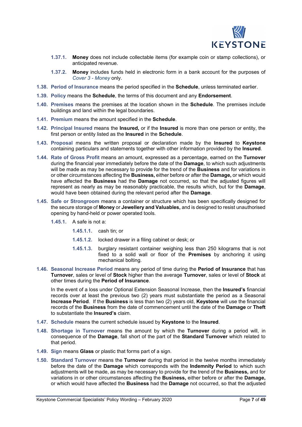

- **1.37.1. Money** does not include collectable items (for example coin or stamp collections), or anticipated revenue.
- **1.37.2. Money** includes funds held in electronic form in a bank account for the purposes of *Cover 3 - Money* only.
- **1.38. Period of Insurance** means the period specified in the **Schedule**, unless terminated earlier.
- **1.39. Policy** means the **Schedule**, the terms of this document and any **Endorsement**.
- **1.40. Premises** means the premises at the location shown in the **Schedule**. The premises include buildings and land within the legal boundaries.
- **1.41. Premium** means the amount specified in the **Schedule**.
- **1.42. Principal Insured** means the **Insured,** or if the **Insured** is more than one person or entity, the first person or entity listed as the **Insured** in the **Schedule**.
- **1.43. Proposal** means the written proposal or declaration made by the **Insured** to **Keystone** containing particulars and statements together with other information provided by the **Insured**.
- **1.44. Rate of Gross Profit** means an amount, expressed as a percentage, earned on the **Turnover** during the financial year immediately before the date of the **Damage**, to which such adjustments will be made as may be necessary to provide for the trend of the **Business** and for variations in or other circumstances affecting the **Business,** either before or after the **Damage,** or which would have affected the **Business** had the **Damage** not occurred, so that the adjusted figures will represent as nearly as may be reasonably practicable, the results which, but for the **Damage**, would have been obtained during the relevant period after the **Damage**.
- **1.45. Safe or Strongroom** means a container or structure which has been specifically designed for the secure storage of **Money** or **Jewellery and Valuables,** and is designed to resist unauthorised opening by hand-held or power operated tools.
	- **1.45.1.** A safe is not a:
		- **1.45.1.1.** cash tin; or
		- **1.45.1.2.** locked drawer in a filing cabinet or desk; or
		- **1.45.1.3.** burglary resistant container weighing less than 250 kilograms that is not fixed to a solid wall or floor of the **Premises** by anchoring it using mechanical bolting.
- **1.46. Seasonal Increase Period** means any period of time during the **Period of Insurance** that has **Turnover**, sales or level of **Stock** higher than the average **Turnover**, sales or level of **Stock** at other times during the **Period of Insurance**.

In the event of a loss under Optional Extension Seasonal Increase, then the **Insured's** financial records over at least the previous two (2) years must substantiate the period as a Seasonal **Increase Period**. If the **Business** is less than two (2) years old, **Keystone** will use the financial records of the **Business** from the date of commencement until the date of the **Damage** or **Theft** to substantiate the **Insured's** claim.

- **1.47. Schedule** means the current schedule issued by **Keystone** to the **Insured**.
- **1.48. Shortage in Turnover** means the amount by which the **Turnover** during a period will, in consequence of the **Damage**, fall short of the part of the **Standard Turnover** which related to that period.
- **1.49. Sign** means **Glass** or plastic that forms part of a sign.
- **1.50. Standard Turnover** means the **Turnover** during that period in the twelve months immediately before the date of the **Damage** which corresponds with the **Indemnity Period** to which such adjustments will be made, as may be necessary to provide for the trend of the **Business,** and for variations in or other circumstances affecting the **Business,** either before or after the **Damage,** or which would have affected the **Business** had the **Damage** not occurred, so that the adjusted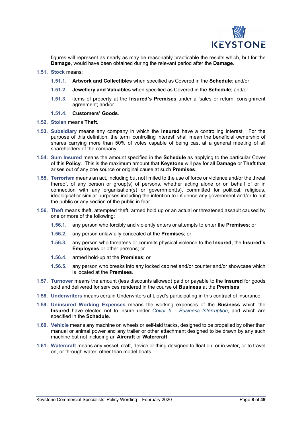

figures will represent as nearly as may be reasonably practicable the results which, but for the **Damage**, would have been obtained during the relevant period after the **Damage**.

- **1.51. Stock** means:
	- **1.51.1. Artwork and Collectibles** when specified as Covered in the **Schedule**; and/or
	- **1.51.2. Jewellery and Valuables** when specified as Covered in the **Schedule**; and/or
	- **1.51.3.** items of property at the **Insured's Premises** under a 'sales or return' consignment agreement; and/or
	- **1.51.4. Customers' Goods**.
- **1.52. Stolen** means **Theft**.
- **1.53. Subsidiary** means any company in which the **Insured** have a controlling interest. For the purpose of this definition, the term 'controlling interest' shall mean the beneficial ownership of shares carrying more than 50% of votes capable of being cast at a general meeting of all shareholders of the company.
- **1.54. Sum Insured** means the amount specified in the **Schedule** as applying to the particular Cover of this **Policy**. This is the maximum amount that **Keystone** will pay for all **Damage** or **Theft** that arises out of any one source or original cause at such **Premises**.
- **1.55. Terrorism** means an act, including but not limited to the use of force or violence and/or the threat thereof, of any person or group(s) of persons, whether acting alone or on behalf of or in connection with any organisation(s) or government(s), committed for political, religious, ideological or similar purposes including the intention to influence any government and/or to put the public or any section of the public in fear.
- **1.56. Theft** means theft, attempted theft, armed hold up or an actual or threatened assault caused by one or more of the following:
	- **1.56.1.** any person who forcibly and violently enters or attempts to enter the **Premises**; or
	- **1.56.2.** any person unlawfully concealed at the **Premises**; or
	- **1.56.3.** any person who threatens or commits physical violence to the **Insured**, the **Insured's Employees** or other persons; or
	- **1.56.4.** armed hold-up at the **Premises**; or
	- **1.56.5.** any person who breaks into any locked cabinet and/or counter and/or showcase which is located at the **Premises**.
- **1.57. Turnover** means the amount (less discounts allowed) paid or payable to the **Insured** for goods sold and delivered for services rendered in the course of **Business** at the **Premises**.
- **1.58. Underwriters** means certain Underwriters at Lloyd's participating in this contract of insurance.
- **1.59. Uninsured Working Expenses** means the working expenses of the **Business** which the **Insured** have elected not to insure under *Cover 5 – Business Interruption*, and which are specified in the **Schedule**.
- **1.60. Vehicle** means any machine on wheels or self-laid tracks, designed to be propelled by other than manual or animal power and any trailer or other attachment designed to be drawn by any such machine but not including an **Aircraft** or **Watercraft**.
- **1.61. Watercraft** means any vessel, craft, device or thing designed to float on, or in water, or to travel on, or through water, other than model boats.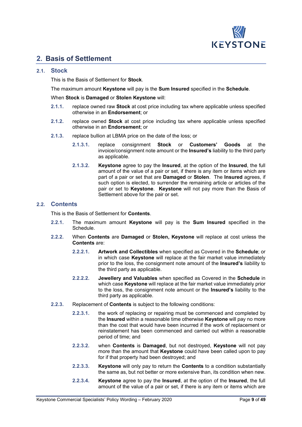

# **2. Basis of Settlement**

### **2.1. Stock**

This is the Basis of Settlement for **Stock**.

The maximum amount **Keystone** will pay is the **Sum Insured** specified in the **Schedule**.

When **Stock** is **Damaged** or **Stolen Keystone** will:

- **2.1.1.** replace owned raw **Stock** at cost price including tax where applicable unless specified otherwise in an **Endorsement**; or
- **2.1.2.** replace owned **Stock** at cost price including tax where applicable unless specified otherwise in an **Endorsement**; or
- **2.1.3.** replace bullion at LBMA price on the date of the loss; or
	- **2.1.3.1.** replace consignment **Stock** or **Customers' Goods** at the invoice/consignment note amount or the **Insured's** liability to the third party as applicable.
	- **2.1.3.2. Keystone** agree to pay the **Insured**, at the option of the **Insured**, the full amount of the value of a pair or set, if there is any item or items which are part of a pair or set that are **Damaged** or **Stolen**. The **Insured** agrees, if such option is elected, to surrender the remaining article or articles of the pair or set to **Keystone**. **Keystone** will not pay more than the Basis of Settlement above for the pair or set.

### **2.2. Contents**

This is the Basis of Settlement for **Contents**.

- **2.2.1.** The maximum amount **Keystone** will pay is the **Sum Insured** specified in the Schedule.
- **2.2.2.** When **Contents** are **Damaged** or **Stolen, Keystone** will replace at cost unless the **Contents** are:
	- **2.2.2.1. Artwork and Collectibles** when specified as Covered in the **Schedule**; or in which case **Keystone** will replace at the fair market value immediately prior to the loss, the consignment note amount of the **Insured's** liability to the third party as applicable.
	- **2.2.2.2. Jewellery and Valuables** when specified as Covered in the **Schedule** in which case **Keystone** will replace at the fair market value immediately prior to the loss, the consignment note amount or the **Insured's** liability to the third party as applicable.
- **2.2.3.** Replacement of **Contents** is subject to the following conditions:
	- **2.2.3.1.** the work of replacing or repairing must be commenced and completed by the **Insured** within a reasonable time otherwise **Keystone** will pay no more than the cost that would have been incurred if the work of replacement or reinstatement has been commenced and carried out within a reasonable period of time; and
	- **2.2.3.2.** when **Contents** is **Damaged**, but not destroyed, **Keystone** will not pay more than the amount that **Keystone** could have been called upon to pay for if that property had been destroyed; and
	- **2.2.3.3. Keystone** will only pay to return the **Contents** to a condition substantially the same as, but not better or more extensive than, its condition when new.
	- **2.2.3.4. Keystone** agree to pay the **Insured**, at the option of the **Insured**, the full amount of the value of a pair or set, if there is any item or items which are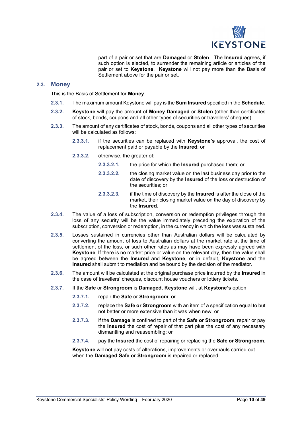

part of a pair or set that are **Damaged** or **Stolen**. The **Insured** agrees, if such option is elected, to surrender the remaining article or articles of the pair or set to **Keystone**. **Keystone** will not pay more than the Basis of Settlement above for the pair or set.

### **2.3. Money**

This is the Basis of Settlement for **Money**.

- **2.3.1.** The maximum amount Keystone will pay is the **Sum Insured** specified in the **Schedule**.
- **2.3.2. Keystone** will pay the amount of **Money Damaged** or **Stolen** (other than certificates of stock, bonds, coupons and all other types of securities or travellers' cheques).
- **2.3.3.** The amount of any certificates of stock, bonds, coupons and all other types of securities will be calculated as follows:
	- **2.3.3.1.** if the securities can be replaced with **Keystone's** approval, the cost of replacement paid or payable by the **Insured**; or
	- **2.3.3.2.** otherwise, the greater of:
		- **2.3.3.2.1.** the price for which the **Insured** purchased them; or
		- **2.3.3.2.2.** the closing market value on the last business day prior to the date of discovery by the **Insured** of the loss or destruction of the securities; or
		- **2.3.3.2.3.** if the time of discovery by the **Insured** is after the close of the market, their closing market value on the day of discovery by the **Insured**.
- **2.3.4.** The value of a loss of subscription, conversion or redemption privileges through the loss of any security will be the value immediately preceding the expiration of the subscription, conversion or redemption, in the currency in which the loss was sustained.
- **2.3.5.** Losses sustained in currencies other than Australian dollars will be calculated by converting the amount of loss to Australian dollars at the market rate at the time of settlement of the loss, or such other rates as may have been expressly agreed with **Keystone**. If there is no market price or value on the relevant day, then the value shall be agreed between the **Insured** and **Keystone**, or in default, **Keystone** and the **Insured** shall submit to mediation and be bound by the decision of the mediator.
- **2.3.6.** The amount will be calculated at the original purchase price incurred by the **Insured** in the case of travellers' cheques, discount house vouchers or lottery tickets.
- **2.3.7.** If the **Safe** or **Strongroom** is **Damaged**, **Keystone** will, at **Keystone's** option:
	- **2.3.7.1.** repair the **Safe** or **Strongroom**; or
	- **2.3.7.2.** replace the **Safe or Strongroom** with an item of a specification equal to but not better or more extensive than it was when new; or
	- **2.3.7.3.** if the **Damage** is confined to part of the **Safe or Strongroom**, repair or pay the **Insured** the cost of repair of that part plus the cost of any necessary dismantling and reassembling; or
	- **2.3.7.4.** pay the **Insured** the cost of repairing or replacing the **Safe or Strongroom**.

**Keystone** will not pay costs of alterations, improvements or overhauls carried out when the **Damaged Safe or Strongroom** is repaired or replaced.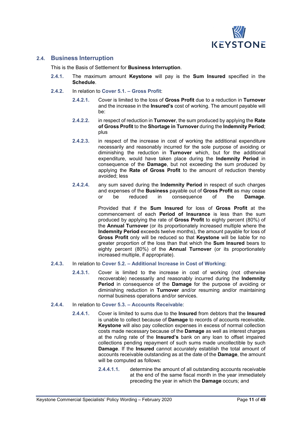

### **2.4. Business Interruption**

This is the Basis of Settlement for **Business Interruption**.

- **2.4.1.** The maximum amount **Keystone** will pay is the **Sum Insured** specified in the **Schedule**.
- **2.4.2.** In relation to **Cover 5.1. – Gross Profit**:
	- **2.4.2.1.** Cover is limited to the loss of **Gross Profit** due to a reduction in **Turnover** and the increase in the **Insured's** cost of working. The amount payable will be:
	- **2.4.2.2.** in respect of reduction in **Turnover**, the sum produced by applying the **Rate of Gross Profit** to the **Shortage in Turnover** during the **Indemnity Period**; plus
	- **2.4.2.3.** in respect of the increase in cost of working the additional expenditure necessarily and reasonably incurred for the sole purpose of avoiding or diminishing the reduction in **Turnover** which, but for the additional expenditure, would have taken place during the **Indemnity Period** in consequence of the **Damage**, but not exceeding the sum produced by applying the **Rate of Gross Profit** to the amount of reduction thereby avoided; less
	- **2.4.2.4.** any sum saved during the **Indemnity Period** in respect of such charges and expenses of the **Business** payable out of **Gross Profit** as may cease  $\overline{\text{consequence}}$

Provided that if the **Sum Insured** for loss of **Gross Profit** at the commencement of each **Period of Insurance** is less than the sum produced by applying the rate of **Gross Profit** to eighty percent (80%) of the **Annual Turnover** (or its proportionately increased multiple where the **Indemnity Period** exceeds twelve months), the amount payable for loss of **Gross Profit** only will be reduced so that **Keystone** will be liable for no greater proportion of the loss than that which the **Sum Insured** bears to eighty percent (80%) of the **Annual Turnover** (or its proportionately increased multiple, if appropriate).

#### **2.4.3.** In relation to **Cover 5.2. – Additional Increase in Cost of Working**:

- **2.4.3.1.** Cover is limited to the increase in cost of working (not otherwise recoverable) necessarily and reasonably incurred during the **Indemnity Period** in consequence of the **Damage** for the purpose of avoiding or diminishing reduction in **Turnover** and/or resuming and/or maintaining normal business operations and/or services.
- **2.4.4.** In relation to **Cover 5.3. – Accounts Receivable**:
	- **2.4.4.1.** Cover is limited to sums due to the **Insured** from debtors that the **Insured** is unable to collect because of **Damage** to records of accounts receivable. **Keystone** will also pay collection expenses in excess of normal collection costs made necessary because of the **Damage** as well as interest charges at the ruling rate of the **Insured's** bank on any loan to offset impaired collections pending repayment of such sums made uncollectible by such **Damage**. If the **Insured** cannot accurately establish the total amount of accounts receivable outstanding as at the date of the **Damage**, the amount will be computed as follows:
		- **2.4.4.1.1.** determine the amount of all outstanding accounts receivable at the end of the same fiscal month in the year immediately preceding the year in which the **Damage** occurs; and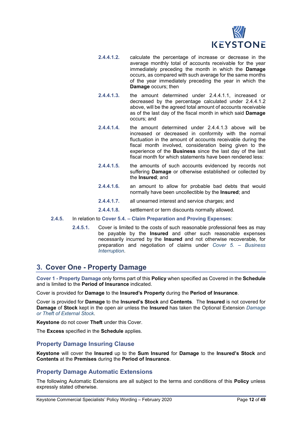

- **2.4.4.1.2.** calculate the percentage of increase or decrease in the average monthly total of accounts receivable for the year immediately preceding the month in which the **Damage** occurs, as compared with such average for the same months of the year immediately preceding the year in which the **Damage** occurs; then
- **2.4.4.1.3.** the amount determined under 2.4.4.1.1, increased or decreased by the percentage calculated under 2.4.4.1.2 above, will be the agreed total amount of accounts receivable as of the last day of the fiscal month in which said **Damage** occurs; and
- **2.4.4.1.4.** the amount determined under 2.4.4.1.3 above will be increased or decreased in conformity with the normal fluctuation in the amount of accounts receivable during the fiscal month involved, consideration being given to the experience of the **Business** since the last day of the last fiscal month for which statements have been rendered less:
- **2.4.4.1.5.** the amounts of such accounts evidenced by records not suffering **Damage** or otherwise established or collected by the **Insured**; and
- **2.4.4.1.6.** an amount to allow for probable bad debts that would normally have been uncollectible by the **Insured**; and
- **2.4.4.1.7.** all unearned interest and service charges; and
- **2.4.4.1.8.** settlement or term discounts normally allowed.
- **2.4.5.** In relation to **Cover 5.4. – Claim Preparation and Proving Expenses**:
	- **2.4.5.1.** Cover is limited to the costs of such reasonable professional fees as may be payable by the **Insured** and other such reasonable expenses necessarily incurred by the **Insured** and not otherwise recoverable, for preparation and negotiation of claims under *Cover 5. – Business Interruption*.

# **3. Cover One - Property Damage**

**Cover 1 - Property Damage** only forms part of this **Policy** when specified as Covered in the **Schedule** and is limited to the **Period of Insurance** indicated.

Cover is provided for **Damage** to the **Insured's Property** during the **Period of Insurance**.

Cover is provided for **Damage** to the **Insured's Stock** and **Contents**. The **Insured** is not covered for **Damage** of **Stock** kept in the open air unless the **Insured** has taken the Optional Extension *Damage or Theft of External Stock*.

**Keystone** do not cover **Theft** under this Cover.

The **Excess** specified in the **Schedule** applies.

# **Property Damage Insuring Clause**

**Keystone** will cover the **Insured** up to the **Sum Insured** for **Damage** to the **Insured's Stock** and **Contents** at the **Premises** during the **Period of Insurance**.

# **Property Damage Automatic Extensions**

The following Automatic Extensions are all subject to the terms and conditions of this **Policy** unless expressly stated otherwise.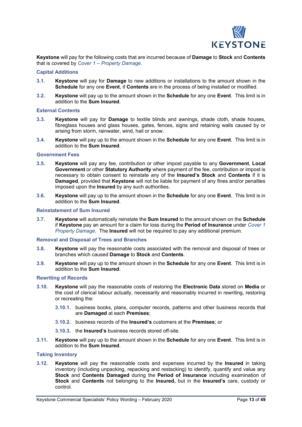

**Keystone** will pay for the following costs that are incurred because of **Damage** to **Stock** and **Contents** that is covered by *Cover 1 – Property Damage*.

#### **Capital Additions**

- **3.1. Keystone** will pay for **Damage** to new additions or installations to the amount shown in the **Schedule** for any one **Event**, if **Contents** are in the process of being installed or modified.
- **3.2. Keystone** will pay up to the amount shown in the **Schedule** for any one **Event**. This limit is in addition to the **Sum Insured**.

#### **External Contents**

- **3.3. Keystone** will pay for **Damage** to textile blinds and awnings, shade cloth, shade houses, fibreglass houses and glass houses, gates, fences, signs and retaining walls caused by or arising from storm, rainwater, wind, hail or snow.
- **3.4. Keystone** will pay up to the amount shown in the **Schedule** for any one **Event**. This limit is in addition to the **Sum Insured**.

#### **Government Fees**

- **3.5. Keystone** will pay any fee, contribution or other impost payable to any **Government**, **Local Government** or other **Statutory Authority** where payment of the fee, contribution or impost is necessary to obtain consent to reinstate any of the **Insured's Stock** and **Contents** if it is **Damaged**, provided that **Keystone** will not be liable for payment of any fines and/or penalties imposed upon the **Insured** by any such authorities.
- **3.6. Keystone** will pay up to the amount shown in the **Schedule** for any one **Event**. This limit is in addition to the **Sum Insured**.

#### **Reinstatement of Sum Insured**

**3.7. Keystone** will automatically reinstate the **Sum Insured** to the amount shown on the **Schedule** if **Keystone** pay an amount for a claim for loss during the **Period of Insurance** under *Cover 1 Property Damage*. The **Insured** will not be required to pay any additional premium.

#### **Removal and Disposal of Trees and Branches**

- **3.8. Keystone** will pay the reasonable costs associated with the removal and disposal of trees or branches which caused **Damage** to **Stock** and **Contents**.
- **3.9. Keystone** will pay up to the amount shown in the **Schedule** for any one **Event**. This limit is in addition to the **Sum Insured**.

#### **Rewriting of Records**

- **3.10. Keystone** will pay the reasonable costs of restoring the **Electronic Data** stored on **Media** or the cost of clerical labour actually, necessarily and reasonably incurred in rewriting, restoring or recreating the:
	- **3.10.1.** business books, plans, computer records, patterns and other business records that are **Damaged** at each **Premises**;
	- **3.10.2.** business records of the **Insured's** customers at the **Premises**; or
	- **3.10.3.** the **Insured's** business records stored off-site.
- **3.11. Keystone** will pay up to the amount shown in the **Schedule** for any one **Event**. This limit is in addition to the **Sum Insured**.

#### **Taking Inventory**

**3.12. Keystone** will pay the reasonable costs and expenses incurred by the **Insured** in taking inventory (including unpacking, repacking and restacking) to identify, quantify and value any **Stock** and **Contents Damaged** during the **Period of Insurance** including examination of **Stock** and **Contents** not belonging to the **Insured,** but in the **Insured's** care, custody or control.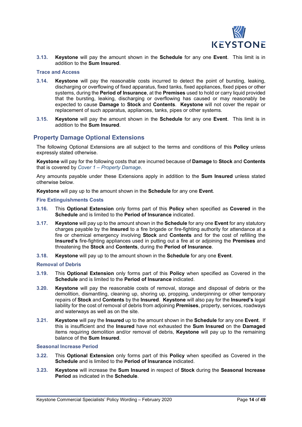

**3.13. Keystone** will pay the amount shown in the **Schedule** for any one **Event**. This limit is in addition to the **Sum Insured**.

#### **Trace and Access**

- **3.14. Keystone** will pay the reasonable costs incurred to detect the point of bursting, leaking, discharging or overflowing of fixed apparatus, fixed tanks, fixed appliances, fixed pipes or other systems, during the **Period of Insurance**, at the **Premises** used to hold or carry liquid provided that the bursting, leaking, discharging or overflowing has caused or may reasonably be expected to cause **Damage** to **Stock** and **Contents**. **Keystone** will not cover the repair or replacement of such apparatus, appliances, tanks, pipes or other systems.
- **3.15. Keystone** will pay the amount shown in the **Schedule** for any one **Event**. This limit is in addition to the **Sum Insured**.

### **Property Damage Optional Extensions**

The following Optional Extensions are all subject to the terms and conditions of this **Policy** unless expressly stated otherwise.

**Keystone** will pay for the following costs that are incurred because of **Damage** to **Stock** and **Contents** that is covered by *Cover 1 – Property Damage*.

Any amounts payable under these Extensions apply in addition to the **Sum Insured** unless stated otherwise below.

**Keystone** will pay up to the amount shown in the **Schedule** for any one **Event**.

#### **Fire Extinguishments Costs**

- **3.16.** This **Optional Extension** only forms part of this **Policy** when specified as **Covered** in the **Schedule** and is limited to the **Period of Insurance** indicated.
- **3.17. Keystone** will pay up to the amount shown in the **Schedule** for any one **Event** for any statutory charges payable by the **Insured** to a fire brigade or fire-fighting authority for attendance at a fire or chemical emergency involving **Stock** and **Contents** and for the cost of refilling the **Insured's** fire-fighting appliances used in putting out a fire at or adjoining the **Premises** and threatening the **Stock** and **Contents**, during the **Period of Insurance**.
- **3.18. Keystone** will pay up to the amount shown in the **Schedule** for any one **Event**.

#### **Removal of Debris**

- **3.19.** This **Optional Extension** only forms part of this **Policy** when specified as Covered in the **Schedule** and is limited to the **Period of Insurance** indicated.
- **3.20. Keystone** will pay the reasonable costs of removal, storage and disposal of debris or the demolition, dismantling, cleaning up, shoring up, propping, underpinning or other temporary repairs of **Stock** and **Contents** by the **Insured**. **Keystone** will also pay for the **Insured's** legal liability for the cost of removal of debris from adjoining **Premises**, property, services, roadways and waterways as well as on the site.
- **3.21. Keystone** will pay the **Insured** up to the amount shown in the **Schedule** for any one **Event**. If this is insufficient and the **Insured** have not exhausted the **Sum Insured** on the **Damaged** items requiring demolition and/or removal of debris, **Keystone** will pay up to the remaining balance of the **Sum Insured**.

#### **Seasonal Increase Period**

- **3.22.** This **Optional Extension** only forms part of this **Policy** when specified as Covered in the **Schedule** and is limited to the **Period of Insurance** indicated.
- **3.23. Keystone** will increase the **Sum Insured** in respect of **Stock** during the **Seasonal Increase Period** as indicated in the **Schedule**.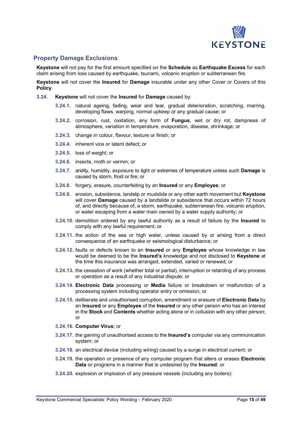

# **Property Damage Exclusions**

**Keystone** will not pay for the first amount specified on the **Schedule** as **Earthquake Excess** for each claim arising from loss caused by earthquake, tsunami, volcanic eruption or subterranean fire.

**Keystone** will not cover the **Insured** for **Damage** insurable under any other Cover or Covers of this **Policy**.

- **3.24. Keystone** will not cover the **Insured** for **Damage** caused by:
	- **3.24.1.** natural ageing, fading, wear and tear, gradual deterioration, scratching, marring, developing flaws, warping, normal upkeep or any gradual cause; or
	- **3.24.2.** corrosion, rust, oxidation, any form of **Fungus**, wet or dry rot, dampness of atmosphere, variation in temperature, evaporation, disease, shrinkage; or
	- **3.24.3.** change in colour, flavour, texture or finish; or
	- **3.24.4.** inherent vice or latent defect; or
	- **3.24.5.** loss of weight; or
	- **3.24.6.** insects, moth or vermin; or
	- **3.24.7.** aridity, humidity, exposure to light or extremes of temperature unless such **Damage** is caused by storm, frost or fire; or
	- **3.24.8.** forgery, erasure, counterfeiting by an **Insured** or any **Employee**; or
	- **3.24.9.** erosion, subsidence, landslip or mudslide or any other earth movement but **Keystone** will cover **Damage** caused by a landslide or subsidence that occurs within 72 hours of, and directly because of, a storm, earthquake, subterranean fire, volcanic eruption, or water escaping from a water main owned by a water supply authority; or
	- **3.24.10.** demolition ordered by any lawful authority as a result of failure by the **Insured** to comply with any lawful requirement; or
	- **3.24.11.** the action of the sea or high water, unless caused by or arising from a direct consequence of an earthquake or seismological disturbance; or
	- **3.24.12.** faults or defects known to an **Insured** or any **Employee** whose knowledge in law would be deemed to be the **Insured's** knowledge and not disclosed to **Keystone** at the time this insurance was arranged, extended, varied or renewed; or
	- **3.24.13.** the cessation of work (whether total or partial), interruption or retarding of any process or operation as a result of any industrial dispute; or
	- **3.24.14. Electronic Data** processing or **Media** failure or breakdown or malfunction of a processing system including operator entry or omission; or
	- **3.24.15.** deliberate and unauthorised corruption, amendment or erasure of **Electronic Data** by an **Insured** or any **Employee** of the **Insured** or any other person who has an interest in the **Stock** and **Contents** whether acting alone or in collusion with any other person; or

#### **3.24.16. Computer Virus**; or

- **3.24.17.** the gaining of unauthorised access to the **Insured's** computer via any communication system; or
- **3.24.18.** an electrical device (including wiring) caused by a surge in electrical current; or
- **3.24.19.** the operation or presence of any computer program that alters or erases **Electronic Data** or programs in a manner that is undesired by the **Insured**; or
- **3.24.20.** explosion or implosion of any pressure vessels (including any boilers):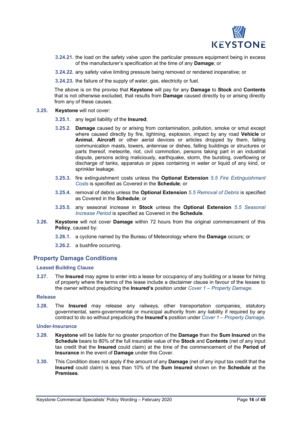

- **3.24.21.** the load on the safety valve upon the particular pressure equipment being in excess of the manufacturer's specification at the time of any **Damage**; or
- **3.24.22.** any safety valve limiting pressure being removed or rendered inoperative; or
- **3.24.23.** the failure of the supply of water, gas, electricity or fuel.

The above is on the proviso that **Keystone** will pay for any **Damage** to **Stock** and **Contents** that is not otherwise excluded, that results from **Damage** caused directly by or arising directly from any of these causes.

- **3.25. Keystone** will not cover:
	- **3.25.1.** any legal liability of the **Insured**;
	- **3.25.2. Damage** caused by or arising from contamination, pollution, smoke or smut except where caused directly by fire, lightning, explosion, impact by any road **Vehicle** or **Animal**, **Aircraft** or other aerial devices or articles dropped by them, falling communication masts, towers, antennae or dishes, falling buildings or structures or parts thereof, meteorite, riot, civil commotion, persons taking part in an industrial dispute, persons acting maliciously, earthquake, storm, the bursting, overflowing or discharge of tanks, apparatus or pipes containing in water or liquid of any kind, or sprinkler leakage.
	- **3.25.3.** fire extinguishment costs unless the **Optional Extension** *5.5 Fire Extinguishment Costs* is specified as Covered in the **Schedule**; or
	- **3.25.4.** removal of debris unless the **Optional Extension** *5.5 Removal of Debris* is specified as Covered in the **Schedule**; or
	- **3.25.5.** any seasonal increase in **Stock** unless the **Optional Extension** *5.5 Seasonal Increase Period* is specified as Covered in the **Schedule**.
- **3.26. Keystone** will not cover **Damage** within 72 hours from the original commencement of this **Policy**, caused by:
	- **3.26.1.** a cyclone named by the Bureau of Meteorology where the **Damage** occurs; or
	- **3.26.2.** a bushfire occurring.

# **Property Damage Conditions**

#### **Leased Building Clause**

**3.27.** The **Insured** may agree to enter into a lease for occupancy of any building or a lease for hiring of property where the terms of the lease include a disclaimer clause in favour of the lessee to the owner without prejudicing the **Insured's** position under *Cover 1 – Property Damage*.

#### **Release**

**3.28.** The **Insured** may release any railways, other transportation companies, statutory governmental, semi-governmental or municipal authority from any liability if required by any contract to do so without prejudicing the **Insured's** position under *Cover 1 – Property Damage*.

#### **Under-Insurance**

- **3.29. Keystone** will be liable for no greater proportion of the **Damage** than the **Sum Insured** on the **Schedule** bears to 80% of the full insurable value of the **Stock** and **Contents** (net of any input tax credit that the **Insured** could claim) at the time of the commencement of the **Period of Insurance** in the event of **Damage** under this Cover.
- **3.30.** This Condition does not apply if the amount of any **Damage** (net of any input tax credit that the **Insured** could claim) is less than 10% of the **Sum Insured** shown on the **Schedule** at the **Premises**.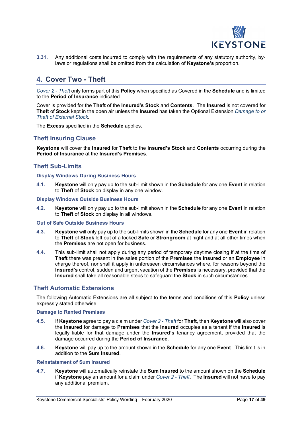

**3.31.** Any additional costs incurred to comply with the requirements of any statutory authority, bylaws or regulations shall be omitted from the calculation of **Keystone's** proportion.

# **4. Cover Two - Theft**

*Cover 2 - Theft* only forms part of this **Policy** when specified as Covered in the **Schedule** and is limited to the **Period of Insurance** indicated.

Cover is provided for the **Theft** of the **Insured's Stock** and **Contents**. The **Insured** is not covered for **Theft** of **Stock** kept in the open air unless the **Insured** has taken the Optional Extension *Damage to or Theft of External Stock*.

The **Excess** specified in the **Schedule** applies.

### **Theft Insuring Clause**

**Keystone** will cover the **Insured** for **Theft** to the **Insured's Stock** and **Contents** occurring during the **Period of Insurance** at the **Insured's Premises**.

### **Theft Sub-Limits**

#### **Display Windows During Business Hours**

**4.1. Keystone** will only pay up to the sub-limit shown in the **Schedule** for any one **Event** in relation to **Theft** of **Stock** on display in any one window.

#### **Display Windows Outside Business Hours**

**4.2. Keystone** will only pay up to the sub-limit shown in the **Schedule** for any one **Event** in relation to **Theft** of **Stock** on display in all windows.

#### **Out of Safe Outside Business Hours**

- **4.3. Keystone** will only pay up to the sub-limits shown in the **Schedule** for any one **Event** in relation to **Theft** of **Stock** left out of a locked **Safe** or **Strongroom** at night and at all other times when the **Premises** are not open for business.
- **4.4.** This sub-limit shall not apply during any period of temporary daytime closing if at the time of **Theft** there was present in the sales portion of the **Premises** the **Insured** or an **Employee** in charge thereof, nor shall it apply in unforeseen circumstances where, for reasons beyond the **Insured's** control, sudden and urgent vacation of the **Premises** is necessary, provided that the **Insured** shall take all reasonable steps to safeguard the **Stock** in such circumstances.

### **Theft Automatic Extensions**

The following Automatic Extensions are all subject to the terms and conditions of this **Policy** unless expressly stated otherwise.

#### **Damage to Rented Premises**

- **4.5.** If **Keystone** agree to pay a claim under *Cover 2 - Theft* for **Theft**, then **Keystone** will also cover the **Insured** for damage to **Premises** that the **Insured** occupies as a tenant if the **Insured** is legally liable for that damage under the **Insured's** tenancy agreement, provided that the damage occurred during the **Period of Insurance**.
- **4.6. Keystone** will pay up to the amount shown in the **Schedule** for any one **Event**. This limit is in addition to the **Sum Insured**.

#### **Reinstatement of Sum Insured**

**4.7. Keystone** will automatically reinstate the **Sum Insured** to the amount shown on the **Schedule** if **Keystone** pay an amount for a claim under *Cover 2 - Theft*. The **Insured** will not have to pay any additional premium.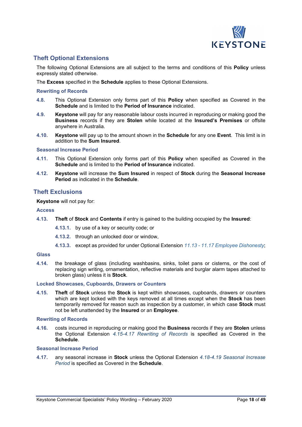

# **Theft Optional Extensions**

The following Optional Extensions are all subject to the terms and conditions of this **Policy** unless expressly stated otherwise.

The **Excess** specified in the **Schedule** applies to these Optional Extensions.

#### **Rewriting of Records**

- **4.8.** This Optional Extension only forms part of this **Policy** when specified as Covered in the **Schedule** and is limited to the **Period of Insurance** indicated.
- **4.9. Keystone** will pay for any reasonable labour costs incurred in reproducing or making good the **Business** records if they are **Stolen** while located at the **Insured's Premises** or offsite anywhere in Australia.
- **4.10. Keystone** will pay up to the amount shown in the **Schedule** for any one **Event**. This limit is in addition to the **Sum Insured**.

#### **Seasonal Increase Period**

- **4.11.** This Optional Extension only forms part of this **Policy** when specified as Covered in the **Schedule** and is limited to the **Period of Insurance** indicated.
- **4.12. Keystone** will increase the **Sum Insured** in respect of **Stock** during the **Seasonal Increase Period** as indicated in the **Schedule**.

### **Theft Exclusions**

**Keystone** will not pay for:

#### **Access**

- **4.13. Theft** of **Stock** and **Contents** if entry is gained to the building occupied by the **Insured**:
	- **4.13.1.** by use of a key or security code; or
	- **4.13.2.** through an unlocked door or window,
	- **4.13.3.** except as provided for under Optional Extension *11.13 - 11.17 Employee Dishonesty*;

#### **Glass**

**4.14.** the breakage of glass (including washbasins, sinks, toilet pans or cisterns, or the cost of replacing sign writing, ornamentation, reflective materials and burglar alarm tapes attached to broken glass) unless it is **Stock**.

#### **Locked Showcases, Cupboards, Drawers or Counters**

**4.15. Theft** of **Stock** unless the **Stock** is kept within showcases, cupboards, drawers or counters which are kept locked with the keys removed at all times except when the **Stock** has been temporarily removed for reason such as inspection by a customer, in which case **Stock** must not be left unattended by the **Insured** or an **Employee**.

#### **Rewriting of Records**

**4.16.** costs incurred in reproducing or making good the **Business** records if they are **Stolen** unless the Optional Extension *4.15-4.17 Rewriting of Records* is specified as Covered in the **Schedule**.

#### **Seasonal Increase Period**

**4.17.** any seasonal increase in **Stock** unless the Optional Extension *4.18-4.19 Seasonal Increase Period* is specified as Covered in the **Schedule**.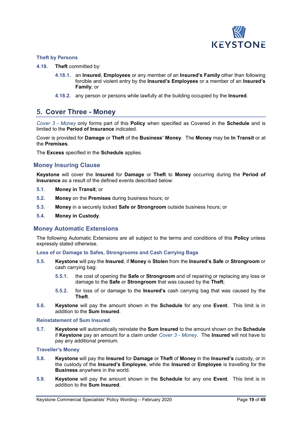

#### **Theft by Persons**

- **4.18. Theft** committed by:
	- **4.18.1.** an **Insured**, **Employees** or any member of an **Insured's Family** other than following forcible and violent entry by the **Insured's Employees** or a member of an **Insured's Family**; or
	- **4.18.2.** any person or persons while lawfully at the building occupied by the **Insured**.

# **5. Cover Three - Money**

*Cover 3 - Money* only forms part of this **Policy** when specified as Covered in the **Schedule** and is limited to the **Period of Insurance** indicated.

Cover is provided for **Damage** or **Theft** of the **Business' Money**. The **Money** may be **In Transit** or at the **Premises**.

The **Excess** specified in the **Schedule** applies.

### **Money Insuring Clause**

**Keystone** will cover the **Insured** for **Damage** or **Theft** to **Money** occurring during the **Period of Insurance** as a result of the defined events described below:

- **5.1. Money in Transit**; or
- **5.2. Money** on the **Premises** during business hours; or
- **5.3. Money** in a securely locked **Safe or Strongroom** outside business hours; or
- **5.4. Money in Custody**.

#### **Money Automatic Extensions**

The following Automatic Extensions are all subject to the terms and conditions of this **Policy** unless expressly stated otherwise.

**Loss of or Damage to Safes, Strongrooms and Cash Carrying Bags**

- **5.5. Keystone** will pay the **Insured**, if **Money** is **Stolen** from the **Insured's Safe** or **Strongroom** or cash carrying bag:
	- **5.5.1.** the cost of opening the **Safe** or **Strongroom** and of repairing or replacing any loss or damage to the **Safe** or **Strongroom** that was caused by the **Theft**;
	- **5.5.2.** for loss of or damage to the **Insured's** cash carrying bag that was caused by the **Theft**.
- **5.6. Keystone** will pay the amount shown in the **Schedule** for any one **Event**. This limit is in addition to the **Sum Insured**.

#### **Reinstatement of Sum Insured**

**5.7. Keystone** will automatically reinstate the **Sum Insured** to the amount shown on the **Schedule** if **Keystone** pay an amount for a claim under *Cover 3 - Money*. The **Insured** will not have to pay any additional premium.

#### **Traveller's Money**

- **5.8. Keystone** will pay the **Insured** for **Damage** or **Theft** of **Money** in the **Insured's** custody, or in the custody of the **Insured's Employee**, while the **Insured** or **Employee** is travelling for the **Business** anywhere in the world.
- **5.9. Keystone** will pay the amount shown in the **Schedule** for any one **Event**. This limit is in addition to the **Sum Insured**.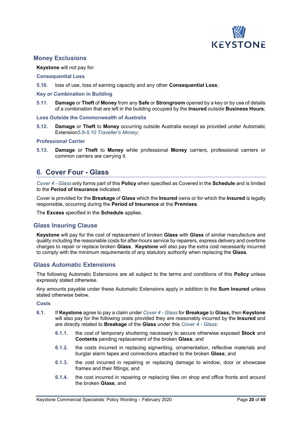

### **Money Exclusions**

#### **Keystone** will not pay for:

#### **Consequential Loss**

**5.10.** loss of use, loss of earning capacity and any other **Consequential Loss**;

#### **Key or Combination in Building**

**5.11. Damage** or **Theft** of **Money** from any **Safe** or **Strongroom** opened by a key or by use of details of a combination that are left in the building occupied by the **Insured** outside **Business Hours**;

#### **Loss Outside the Commonwealth of Australia**

**5.12. Damage** or **Theft** to **Money** occurring outside Australia except as provided under Automatic Extension*5.9-5.10 Traveller's Money*;

#### **Professional Carrier**

**5.13. Damage** or **Theft** to **Money** while professional **Money** carriers, professional carriers or common carriers are carrying it.

# **6. Cover Four - Glass**

*Cover 4 - Glass* only forms part of this **Policy** when specified as Covered in the **Schedule** and is limited to the **Period of Insurance** indicated.

Cover is provided for the **Breakage** of **Glass** which the **Insured** owns or for which the **Insured** is legally responsible, occurring during the **Period of Insurance** at the **Premises**.

The **Excess** specified in the **Schedule** applies.

# **Glass Insuring Clause**

**Keystone** will pay for the cost of replacement of broken **Glass** with **Glass** of similar manufacture and quality including the reasonable costs for after-hours service by repairers, express delivery and overtime charges to repair or replace broken **Glass**. **Keystone** will also pay the extra cost necessarily incurred to comply with the minimum requirements of any statutory authority when replacing the **Glass**.

#### **Glass Automatic Extensions**

The following Automatic Extensions are all subject to the terms and conditions of this **Policy** unless expressly stated otherwise.

Any amounts payable under these Automatic Extensions apply in addition to the **Sum Insured** unless stated otherwise below.

#### **Costs**

- **6.1.** If **Keystone** agree to pay a claim under *Cover 4 - Glass* for **Breakage** to **Glass,** then **Keystone** will also pay for the following costs provided they are reasonably incurred by the **Insured** and are directly related to **Breakage** of the **Glass** under this *Cover 4 - Glass*:
	- **6.1.1.** the cost of temporary shuttering necessary to secure otherwise exposed **Stock** and **Contents** pending replacement of the broken **Glass**; and
	- **6.1.2.** the costs incurred in replacing signwriting, ornamentation, reflective materials and burglar alarm tapes and connections attached to the broken **Glass**; and
	- **6.1.3.** the cost incurred in repairing or replacing damage to window, door or showcase frames and their fittings; and
	- **6.1.4.** the cost incurred in repairing or replacing tiles on shop and office fronts and around the broken **Glass**; and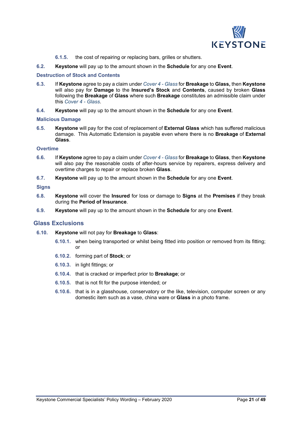

- **6.1.5.** the cost of repairing or replacing bars, grilles or shutters.
- **6.2. Keystone** will pay up to the amount shown in the **Schedule** for any one **Event**.

#### **Destruction of Stock and Contents**

- **6.3.** If **Keystone** agree to pay a claim under *Cover 4 - Glass* for **Breakage** to **Glass,** then **Keystone** will also pay for **Damage** to the **Insured's Stock** and **Contents**, caused by broken **Glass** following the **Breakage** of **Glass** where such **Breakage** constitutes an admissible claim under this *Cover 4 - Glass*.
- **6.4. Keystone** will pay up to the amount shown in the **Schedule** for any one **Event**.

#### **Malicious Damage**

**6.5. Keystone** will pay for the cost of replacement of **External Glass** which has suffered malicious damage. This Automatic Extension is payable even where there is no **Breakage** of **External Glass**.

#### **Overtime**

- **6.6.** If **Keystone** agree to pay a claim under *Cover 4 - Glass* for **Breakage** to **Glass**, then **Keystone** will also pay the reasonable costs of after-hours service by repairers, express delivery and overtime charges to repair or replace broken **Glass**.
- **6.7. Keystone** will pay up to the amount shown in the **Schedule** for any one **Event**.

#### **Signs**

- **6.8. Keystone** will cover the **Insured** for loss or damage to **Signs** at the **Premises** if they break during the **Period of Insurance**.
- **6.9. Keystone** will pay up to the amount shown in the **Schedule** for any one **Event**.

#### **Glass Exclusions**

- **6.10. Keystone** will not pay for **Breakage** to **Glass**:
	- **6.10.1.** when being transported or whilst being fitted into position or removed from its fitting; or
	- **6.10.2.** forming part of **Stock**; or
	- **6.10.3.** in light fittings; or
	- **6.10.4.** that is cracked or imperfect prior to **Breakage**; or
	- **6.10.5.** that is not fit for the purpose intended; or
	- **6.10.6.** that is in a glasshouse, conservatory or the like, television, computer screen or any domestic item such as a vase, china ware or **Glass** in a photo frame.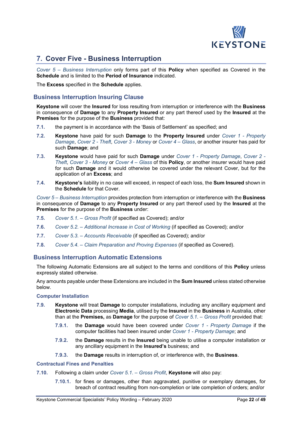

# **7. Cover Five - Business Interruption**

*Cover 5 – Business Interruption* only forms part of this **Policy** when specified as Covered in the **Schedule** and is limited to the **Period of Insurance** indicated.

The **Excess** specified in the **Schedule** applies.

# **Business Interruption Insuring Clause**

**Keystone** will cover the **Insured** for loss resulting from interruption or interference with the **Business** in consequence of **Damage** to any **Property Insured** or any part thereof used by the **Insured** at the **Premises** for the purpose of the **Business** provided that:

- **7.1.** the payment is in accordance with the 'Basis of Settlement' as specified; and
- **7.2. Keystone** have paid for such **Damage** to the **Property Insured** under *Cover 1 - Property Damage*, *Cover 2 - Theft*, *Cover 3 - Money* or *Cover 4 – Glass*, or another insurer has paid for such **Damage**; and
- **7.3. Keystone** would have paid for such **Damage** under *Cover 1 - Property Damage*, *Cover 2 - Theft*, *Cover 3 - Money* or *Cover 4 – Glass* of this **Policy**, or another insurer would have paid for such **Damage** and it would otherwise be covered under the relevant Cover, but for the application of an **Excess**; and
- **7.4. Keystone's** liability in no case will exceed, in respect of each loss, the **Sum Insured** shown in the **Schedule** for that Cover.

*Cover 5 – Business Interruption* provides protection from interruption or interference with the **Business** in consequence of **Damage** to any **Property Insured** or any part thereof used by the **Insured** at the **Premises** for the purpose of the **Business** under:

- **7.5.** *Cover 5.1. – Gross Profit* (if specified as Covered); and/or
- **7.6.** *Cover 5.2. – Additional Increase in Cost of Working* (if specified as Covered); and/or
- **7.7.** *Cover 5.3. – Accounts Receivable* (if specified as Covered); and/or
- **7.8.** *Cover 5.4. – Claim Preparation and Proving Expenses* (if specified as Covered).

# **Business Interruption Automatic Extensions**

The following Automatic Extensions are all subject to the terms and conditions of this **Policy** unless expressly stated otherwise.

Any amounts payable under these Extensions are included in the **Sum Insured** unless stated otherwise below.

#### **Computer Installation**

- **7.9. Keystone** will treat **Damage** to computer installations, including any ancillary equipment and **Electronic Data** processing **Media**, utilised by the **Insured** in the **Business** in Australia, other than at the **Premises,** as **Damage** for the purpose of *Cover 5.1. – Gross Profit* provided that:
	- **7.9.1.** the **Damage** would have been covered under *Cover 1 - Property Damage* if the computer facilities had been insured under *Cover 1 - Property Damage*; and
	- **7.9.2.** the **Damage** results in the **Insured** being unable to utilise a computer installation or any ancillary equipment in the **Insured's** business; and
	- **7.9.3.** the **Damage** results in interruption of, or interference with, the **Business**.

#### **Contractual Fines and Penalties**

- **7.10.** Following a claim under *Cover 5.1. – Gross Profit*, **Keystone** will also pay:
	- **7.10.1.** for fines or damages, other than aggravated, punitive or exemplary damages, for breach of contract resulting from non-completion or late completion of orders; and/or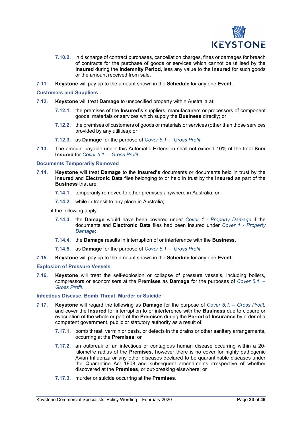

- **7.10.2.** in discharge of contract purchases, cancellation charges, fines or damages for breach of contracts for the purchase of goods or services which cannot be utilised by the **Insured** during the **Indemnity Period**, less any value to the **Insured** for such goods or the amount received from sale.
- **7.11. Keystone** will pay up to the amount shown in the **Schedule** for any one **Event**.

#### **Customers and Suppliers**

- **7.12. Keystone** will treat **Damage** to unspecified property within Australia at:
	- **7.12.1.** the premises of the **Insured's** suppliers, manufacturers or processors of component goods, materials or services which supply the **Business** directly; or
	- **7.12.2.** the premises of customers of goods or materials or services (other than those services provided by any utilities); or
	- **7.12.3.** as **Damage** for the purpose of *Cover 5.1. – Gross Profit*.
- **7.13.** The amount payable under this Automatic Extension shall not exceed 10% of the total **Sum Insured** for *Cover 5.1. – Gross Profit*.

#### **Documents Temporarily Removed**

- **7.14. Keystone** will treat **Damage** to the **Insured's** documents or documents held in trust by the **Insured** and **Electronic Data** files belonging to or held in trust by the **Insured** as part of the **Business** that are:
	- **7.14.1.** temporarily removed to other premises anywhere in Australia; or
	- **7.14.2.** while in transit to any place in Australia;

if the following apply:

- **7.14.3.** the **Damage** would have been covered under *Cover 1 - Property Damage* if the documents and **Electronic Data** files had been insured under *Cover 1 - Property Damage*;
- **7.14.4.** the **Damage** results in interruption of or interference with the **Business**,
- **7.14.5.** as **Damage** for the purpose of *Cover 5.1. – Gross Profit*.
- **7.15. Keystone** will pay up to the amount shown in the **Schedule** for any one **Event**.

#### **Explosion of Pressure Vessels**

**7.16. Keystone** will treat the self-explosion or collapse of pressure vessels, including boilers, compressors or economisers at the **Premises** as **Damage** for the purposes of *Cover 5.1. – Gross Profit*.

#### **Infectious Disease, Bomb Threat, Murder or Suicide**

- **7.17. Keystone** will regard the following as **Damage** for the purpose of *Cover 5.1. – Gross Profit,* and cover the **Insured** for interruption to or interference with the **Business** due to closure or evacuation of the whole or part of the **Premises** during the **Period of Insurance** by order of a competent government, public or statutory authority as a result of:
	- **7.17.1.** bomb threat, vermin or pests, or defects in the drains or other sanitary arrangements, occurring at the **Premises**; or
	- **7.17.2.** an outbreak of an infectious or contagious human disease occurring within a 20 kilometre radius of the **Premises**, however there is no cover for highly pathogenic Avian Influenza or any other diseases declared to be quarantinable diseases under the Quarantine Act 1908 and subsequent amendments irrespective of whether discovered at the **Premises**, or out-breaking elsewhere; or
	- **7.17.3.** murder or suicide occurring at the **Premises**.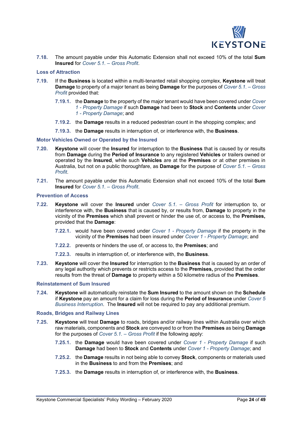

**7.18.** The amount payable under this Automatic Extension shall not exceed 10% of the total **Sum Insured** for *Cover 5.1. – Gross Profit*.

#### **Loss of Attraction**

- **7.19.** If the **Business** is located within a multi-tenanted retail shopping complex, **Keystone** will treat **Damage** to property of a major tenant as being **Damage** for the purposes of *Cover 5.1. – Gross Profit* provided that:
	- **7.19.1.** the **Damage** to the property of the major tenant would have been covered under *Cover 1 - Property Damage* if such **Damage** had been to **Stock** and **Contents** under *Cover 1 - Property Damage*; and
	- **7.19.2.** the **Damage** results in a reduced pedestrian count in the shopping complex; and
	- **7.19.3.** the **Damage** results in interruption of, or interference with, the **Business**.

#### **Motor Vehicles Owned or Operated by the Insured**

- **7.20. Keystone** will cover the **Insured** for interruption to the **Business** that is caused by or results from **Damage** during the **Period of Insurance** to any registered **Vehicles** or trailers owned or operated by the **Insured**, while such **Vehicles** are at the **Premises** or at other premises in Australia, but not on a public thoroughfare, as **Damage** for the purpose of *Cover 5.1. – Gross Profit*.
- **7.21.** The amount payable under this Automatic Extension shall not exceed 10% of the total **Sum Insured** for *Cover 5.1. – Gross Profit*.

#### **Prevention of Access**

- **7.22. Keystone** will cover the **Insured** under *Cover 5.1. – Gross Profit* for interruption to, or interference with, the **Business** that is caused by, or results from, **Damage** to property in the vicinity of the **Premises** which shall prevent or hinder the use of, or access to, the **Premises,** provided that the **Damage**:
	- **7.22.1.** would have been covered under *Cover 1 - Property Damage* if the property in the vicinity of the **Premises** had been insured under *Cover 1 - Property Damage*; and
	- **7.22.2.** prevents or hinders the use of, or access to, the **Premises**; and
	- **7.22.3.** results in interruption of, or interference with, the **Business**.
- **7.23. Keystone** will cover the **Insured** for interruption to the **Business** that is caused by an order of any legal authority which prevents or restricts access to the **Premises,** provided that the order results from the threat of **Damage** to property within a 50 kilometre radius of the **Premises**.

#### **Reinstatement of Sum Insured**

**7.24. Keystone** will automatically reinstate the **Sum Insured** to the amount shown on the **Schedule** if **Keystone** pay an amount for a claim for loss during the **Period of Insurance** under *Cover 5 Business Interruption*. The **Insured** will not be required to pay any additional premium.

#### **Roads, Bridges and Railway Lines**

- **7.25. Keystone** will treat **Damage** to roads, bridges and/or railway lines within Australia over which raw materials, components and **Stock** are conveyed to or from the **Premises** as being **Damage** for the purposes of *Cover 5.1. – Gross Profit* if the following apply:
	- **7.25.1.** the **Damage** would have been covered under *Cover 1 - Property Damage* if such **Damage** had been to **Stock** and **Contents** under *Cover 1 - Property Damage*; and
	- **7.25.2.** the **Damage** results in not being able to convey **Stock**, components or materials used in the **Business** to and from the **Premises**; and
	- **7.25.3.** the **Damage** results in interruption of, or interference with, the **Business**.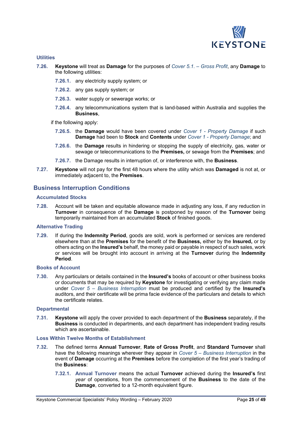

#### **Utilities**

- **7.26. Keystone** will treat as **Damage** for the purposes of *Cover 5.1. – Gross Profit*, any **Damage** to the following utilities:
	- **7.26.1.** any electricity supply system; or
	- **7.26.2.** any gas supply system; or
	- **7.26.3.** water supply or sewerage works; or
	- **7.26.4.** any telecommunications system that is land-based within Australia and supplies the **Business**,

if the following apply:

- **7.26.5.** the **Damage** would have been covered under *Cover 1 - Property Damage* if such **Damage** had been to **Stock** and **Contents** under *Cover 1 - Property Damage*; and
- **7.26.6.** the **Damage** results in hindering or stopping the supply of electricity, gas, water or sewage or telecommunications to the **Premises,** or sewage from the **Premises**; and
- **7.26.7.** the Damage results in interruption of, or interference with, the **Business**.
- **7.27. Keystone** will not pay for the first 48 hours where the utility which was **Damaged** is not at, or immediately adjacent to, the **Premises**.

### **Business Interruption Conditions**

#### **Accumulated Stocks**

**7.28.** Account will be taken and equitable allowance made in adjusting any loss, if any reduction in **Turnover** in consequence of the **Damage** is postponed by reason of the **Turnover** being temporarily maintained from an accumulated **Stock** of finished goods.

#### **Alternative Trading**

**7.29.** If during the **Indemnity Period**, goods are sold, work is performed or services are rendered elsewhere than at the **Premises** for the benefit of the **Business,** either by the **Insured,** or by others acting on the **Insured's** behalf, the money paid or payable in respect of such sales, work or services will be brought into account in arriving at the **Turnover** during the **Indemnity Period**.

#### **Books of Account**

**7.30.** Any particulars or details contained in the **Insured's** books of account or other business books or documents that may be required by **Keystone** for investigating or verifying any claim made under *Cover 5 – Business Interruption* must be produced and certified by the **Insured's** auditors, and their certificate will be prima facie evidence of the particulars and details to which the certificate relates.

#### **Departmental**

**7.31. Keystone** will apply the cover provided to each department of the **Business** separately, if the **Business** is conducted in departments, and each department has independent trading results which are ascertainable.

#### **Loss Within Twelve Months of Establishment**

- **7.32.** The defined terms **Annual Turnover**, **Rate of Gross Profit**, and **Standard Turnover** shall have the following meanings wherever they appear in *Cover 5 – Business Interruption* in the event of **Damage** occurring at the **Premises** before the completion of the first year's trading of the **Business**:
	- **7.32.1. Annual Turnover** means the actual **Turnover** achieved during the **Insured's** first *year* of operations, from the commencement of the **Business** to the date of the **Damage**, converted to a 12-month equivalent figure.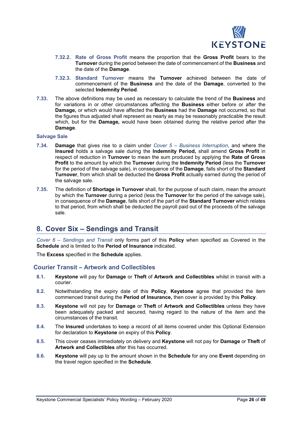

- **7.32.2. Rate of Gross Profit** means the proportion that the **Gross Profit** bears to the **Turnover** during the period between the date of commencement of the **Business** and the date of the **Damage**.
- **7.32.3. Standard Turnover** means the **Turnover** achieved between the date of commencement of the **Business** and the date of the **Damage**, converted to the selected **Indemnity Period**.
- **7.33.** The above definitions may be used as necessary to calculate the trend of the **Business** and for variations in or other circumstances affecting the **Business** either before or after the **Damage,** or which would have affected the **Business** had the **Damage** not occurred, so that the figures thus adjusted shall represent as nearly as may be reasonably practicable the result which, but for the **Damage,** would have been obtained during the relative period after the **Damage**.

#### **Salvage Sale**

- **7.34. Damage** that gives rise to a claim under *Cover 5 – Business Interruption*, and where the **Insured** holds a salvage sale during the **Indemnity Period,** shall amend **Gross Profit** in respect of reduction in **Turnover** to mean the sum produced by applying the **Rate of Gross Profit** to the amount by which the **Turnover** during the **Indemnity Period** (less the **Turnover** for the period of the salvage sale), in consequence of the **Damage**, falls short of the **Standard Turnover**, from which shall be deducted the **Gross Profit** actually earned during the period of the salvage sale.
- **7.35.** The definition of **Shortage in Turnover** shall, for the purpose of such claim, mean the amount by which the **Turnover** during a period (less the **Turnover** for the period of the salvage sale), in consequence of the **Damage**, falls short of the part of the **Standard Turnover** which relates to that period, from which shall be deducted the payroll paid out of the proceeds of the salvage sale.

# **8. Cover Six – Sendings and Transit**

*Cover 6 – Sendings and Transit* only forms part of this **Policy** when specified as Covered in the **Schedule** and is limited to the **Period of Insurance** indicated.

The **Excess** specified in the **Schedule** applies.

#### **Courier Transit – Artwork and Collectibles**

- **8.1. Keystone** will pay for **Damage** or **Theft** of **Artwork and Collectibles** whilst in transit with a courier.
- **8.2.** Notwithstanding the expiry date of this **Policy**, **Keystone** agree that provided the item commenced transit during the **Period of Insurance,** then cover is provided by this **Policy**.
- **8.3. Keystone** will not pay for **Damage** or **Theft** of **Artwork and Collectibles** unless they have been adequately packed and secured, having regard to the nature of the item and the circumstances of the transit.
- **8.4.** The **Insured** undertakes to keep a record of all items covered under this Optional Extension for declaration to **Keystone** on expiry of this **Policy**.
- **8.5.** This cover ceases immediately on delivery and **Keystone** will not pay for **Damage** or **Theft** of **Artwork and Collectibles** after this has occurred.
- **8.6. Keystone** will pay up to the amount shown in the **Schedule** for any one **Event** depending on the travel region specified in the **Schedule**.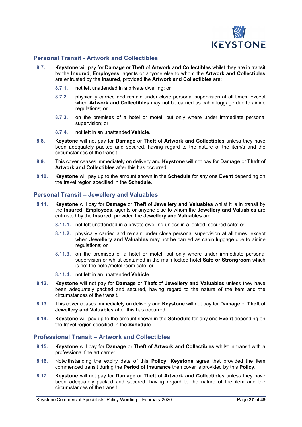

# **Personal Transit - Artwork and Collectibles**

- **8.7. Keystone** will pay for **Damage** or **Theft** of **Artwork and Collectibles** whilst they are in transit by the **Insured**, **Employees**, agents or anyone else to whom the **Artwork and Collectibles** are entrusted by the **Insured**, provided the **Artwork and Collectibles** are:
	- **8.7.1.** not left unattended in a private dwelling; or
	- **8.7.2.** physically carried and remain under close personal supervision at all times, except when **Artwork and Collectibles** may not be carried as cabin luggage due to airline regulations; or
	- **8.7.3.** on the premises of a hotel or motel, but only where under immediate personal supervision; or
	- **8.7.4.** not left in an unattended **Vehicle**.
- **8.8. Keystone** will not pay for **Damage** or **Theft** of **Artwork and Collectibles** unless they have been adequately packed and secured, having regard to the nature of the item/s and the circumstances of the transit.
- **8.9.** This cover ceases immediately on delivery and **Keystone** will not pay for **Damage** or **Theft** of **Artwork and Collectibles** after this has occurred.
- **8.10. Keystone** will pay up to the amount shown in the **Schedule** for any one **Event** depending on the travel region specified in the **Schedule**.

#### **Personal Transit – Jewellery and Valuables**

- **8.11. Keystone** will pay for **Damage** or **Theft** of **Jewellery and Valuables** whilst it is in transit by the **Insured**, **Employees**, agents or anyone else to whom the **Jewellery and Valuables** are entrusted by the **Insured,** provided the **Jewellery and Valuables** are:
	- **8.11.1.** not left unattended in a private dwelling unless in a locked, secured safe; or
	- **8.11.2.** physically carried and remain under close personal supervision at all times, except when **Jewellery and Valuables** may not be carried as cabin luggage due to airline regulations; or
	- **8.11.3.** on the premises of a hotel or motel, but only where under immediate personal supervision or whilst contained in the main locked hotel **Safe or Strongroom** which is not the hotel/motel room safe; or
	- **8.11.4.** not left in an unattended **Vehicle**.
- **8.12. Keystone** will not pay for **Damage** or **Theft** of **Jewellery and Valuables** unless they have been adequately packed and secured, having regard to the nature of the item and the circumstances of the transit.
- **8.13.** This cover ceases immediately on delivery and **Keystone** will not pay for **Damage** or **Theft** of **Jewellery and Valuables** after this has occurred.
- **8.14. Keystone** will pay up to the amount shown in the **Schedule** for any one **Event** depending on the travel region specified in the **Schedule**.

# **Professional Transit – Artwork and Collectibles**

- **8.15. Keystone** will pay for **Damage** or **Theft** of **Artwork and Collectibles** whilst in transit with a professional fine art carrier.
- **8.16.** Notwithstanding the expiry date of this **Policy**, **Keystone** agree that provided the item commenced transit during the **Period of Insurance** then cover is provided by this **Policy**.
- **8.17. Keystone** will not pay for **Damage** or **Theft** of **Artwork and Collectibles** unless they have been adequately packed and secured, having regard to the nature of the item and the circumstances of the transit.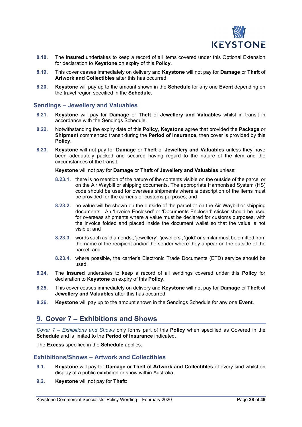

- **8.18.** The **Insured** undertakes to keep a record of all items covered under this Optional Extension for declaration to **Keystone** on expiry of this **Policy**.
- **8.19.** This cover ceases immediately on delivery and **Keystone** will not pay for **Damage** or **Theft** of **Artwork and Collectibles** after this has occurred.
- **8.20. Keystone** will pay up to the amount shown in the **Schedule** for any one **Event** depending on the travel region specified in the **Schedule**.

#### **Sendings – Jewellery and Valuables**

- **8.21. Keystone** will pay for **Damage** or **Theft** of **Jewellery and Valuables** whilst in transit in accordance with the Sendings Schedule.
- **8.22.** Notwithstanding the expiry date of this **Policy**, **Keystone** agree that provided the **Package** or **Shipment** commenced transit during the **Period of Insurance,** then cover is provided by this **Policy**.
- **8.23. Keystone** will not pay for **Damage** or **Theft** of **Jewellery and Valuables** unless they have been adequately packed and secured having regard to the nature of the item and the circumstances of the transit.

**Keystone** will not pay for **Damage** or **Theft** of **Jewellery and Valuables** unless:

- **8.23.1.** there is no mention of the nature of the contents visible on the outside of the parcel or on the Air Waybill or shipping documents. The appropriate Harmonised System (HS) code should be used for overseas shipments where a description of the items must be provided for the carrier's or customs purposes; and
- **8.23.2.** no value will be shown on the outside of the parcel or on the Air Waybill or shipping documents. An 'Invoice Enclosed' or 'Documents Enclosed' sticker should be used for overseas shipments where a value must be declared for customs purposes, with the invoice folded and placed inside the document wallet so that the value is not visible; and
- **8.23.3.** words such as 'diamonds', 'jewellery', 'jewellers', 'gold' or similar must be omitted from the name of the recipient and/or the sender where they appear on the outside of the parcel; and
- **8.23.4.** where possible, the carrier's Electronic Trade Documents (ETD) service should be used.
- **8.24.** The **Insured** undertakes to keep a record of all sendings covered under this **Policy** for declaration to **Keystone** on expiry of this **Policy**.
- **8.25.** This cover ceases immediately on delivery and **Keystone** will not pay for **Damage** or **Theft** of **Jewellery and Valuables** after this has occurred.
- **8.26. Keystone** will pay up to the amount shown in the Sendings Schedule for any one **Event**.

# **9. Cover 7 – Exhibitions and Shows**

*Cover 7 – Exhibitions and Shows* only forms part of this **Policy** when specified as Covered in the **Schedule** and is limited to the **Period of Insurance** indicated.

The **Excess** specified in the **Schedule** applies.

#### **Exhibitions/Shows – Artwork and Collectibles**

- **9.1. Keystone** will pay for **Damage** or **Theft** of **Artwork and Collectibles** of every kind whilst on display at a public exhibition or show within Australia.
- **9.2. Keystone** will not pay for **Theft**: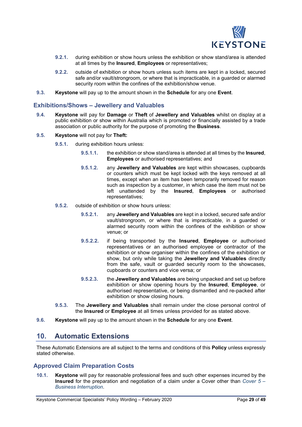

- **9.2.1.** during exhibition or show hours unless the exhibition or show stand/area is attended at all times by the **Insured**, **Employees** or representatives;
- **9.2.2.** outside of exhibition or show hours unless such items are kept in a locked, secured safe and/or vault/strongroom, or where that is impracticable, in a guarded or alarmed security room within the confines of the exhibition/show venue.
- **9.3. Keystone** will pay up to the amount shown in the **Schedule** for any one **Event**.

#### **Exhibitions/Shows – Jewellery and Valuables**

- **9.4. Keystone** will pay for **Damage** or **Theft** of **Jewellery and Valuables** whilst on display at a public exhibition or show within Australia which is promoted or financially assisted by a trade association or public authority for the purpose of promoting the **Business**.
- **9.5. Keystone** will not pay for **Theft:**
	- **9.5.1.** during exhibition hours unless:
		- **9.5.1.1.** the exhibition or show stand/area is attended at all times by the **Insured**, **Employees** or authorised representatives; and
		- **9.5.1.2.** any **Jewellery and Valuables** are kept within showcases, cupboards or counters which must be kept locked with the keys removed at all times, except when an item has been temporarily removed for reason such as inspection by a customer, in which case the item must not be left unattended by the **Insured**, **Employees** or authorised representatives;
	- **9.5.2.** outside of exhibition or show hours unless:
		- **9.5.2.1.** any **Jewellery and Valuables** are kept in a locked, secured safe and/or vault/strongroom, or where that is impracticable, in a guarded or alarmed security room within the confines of the exhibition or show venue; or
		- **9.5.2.2.** if being transported by the **Insured**, **Employee** or authorised representatives or an authorised employee or contractor of the exhibition or show organiser within the confines of the exhibition or show, but only while taking the **Jewellery and Valuables** directly from the safe, vault or guarded security room to the showcases, cupboards or counters and vice versa; or
		- **9.5.2.3.** the **Jewellery and Valuables** are being unpacked and set up before exhibition or show opening hours by the **Insured**, **Employee**, or authorised representative, or being dismantled and re-packed after exhibition or show closing hours.
	- **9.5.3.** The **Jewellery and Valuables** shall remain under the close personal control of the **Insured** or **Employee** at all times unless provided for as stated above.
- **9.6. Keystone** will pay up to the amount shown in the **Schedule** for any one **Event**.

# **10. Automatic Extensions**

These Automatic Extensions are all subject to the terms and conditions of this **Policy** unless expressly stated otherwise.

#### **Approved Claim Preparation Costs**

**10.1. Keystone** will pay for reasonable professional fees and such other expenses incurred by the **Insured** for the preparation and negotiation of a claim under a Cover other than *Cover 5 – Business Interruption*.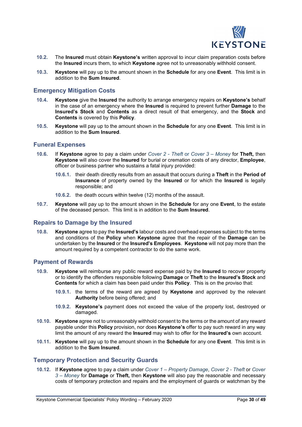

- **10.2.** The **Insured** must obtain **Keystone's** written approval to incur claim preparation costs before the **Insured** incurs them, to which **Keystone** agree not to unreasonably withhold consent.
- **10.3. Keystone** will pay up to the amount shown in the **Schedule** for any one **Event**. This limit is in addition to the **Sum Insured**.

#### **Emergency Mitigation Costs**

- **10.4. Keystone** give the **Insured** the authority to arrange emergency repairs on **Keystone's** behalf in the case of an emergency where the **Insured** is required to prevent further **Damage** to the **Insured's Stock** and **Contents** as a direct result of that emergency, and the **Stock** and **Contents** is covered by this **Policy**.
- **10.5. Keystone** will pay up to the amount shown in the **Schedule** for any one **Event**. This limit is in addition to the **Sum Insured**.

### **Funeral Expenses**

- **10.6.** If **Keystone** agree to pay a claim under *Cover 2 - Theft* or *Cover 3 – Money* for **Theft,** then **Keystone** will also cover the **Insured** for burial or cremation costs of any director, **Employee**, officer or business partner who sustains a fatal injury provided:
	- **10.6.1.** their death directly results from an assault that occurs during a **Theft** in the **Period of Insurance** of property owned by the **Insured** or for which the **Insured** is legally responsible; and
	- **10.6.2.** the death occurs within twelve (12) months of the assault.
- **10.7. Keystone** will pay up to the amount shown in the **Schedule** for any one **Event**, to the estate of the deceased person. This limit is in addition to the **Sum Insured**.

#### **Repairs to Damage by the Insured**

**10.8. Keystone** agree to pay the **Insured's** labour costs and overhead expenses subject to the terms and conditions of the **Policy** when **Keystone** agree that the repair of the **Damage** can be undertaken by the **Insured** or the **Insured's Employees**. **Keystone** will not pay more than the amount required by a competent contractor to do the same work.

#### **Payment of Rewards**

- **10.9. Keystone** will reimburse any public reward expense paid by the **Insured** to recover property or to identify the offenders responsible following **Damage** or **Theft** to the **Insured's Stock** and **Contents** for which a claim has been paid under this **Policy**. This is on the proviso that:
	- **10.9.1.** the terms of the reward are agreed by **Keystone** and approved by the relevant **Authority** before being offered; and
	- **10.9.2. Keystone's** payment does not exceed the value of the property lost, destroyed or damaged.
- **10.10. Keystone** agree not to unreasonably withhold consent to the terms or the amount of any reward payable under this **Policy** provision, nor does **Keystone's** offer to pay such reward in any way limit the amount of any reward the **Insured** may wish to offer for the **Insured's** own account.
- **10.11. Keystone** will pay up to the amount shown in the **Schedule** for any one **Event**. This limit is in addition to the **Sum Insured**.

#### **Temporary Protection and Security Guards**

**10.12.** If **Keystone** agree to pay a claim under *Cover 1 – Property Damage*, *Cover 2 - Theft* or *Cover 3 – Money* for **Damage** or **Theft,** then **Keystone** will also pay the reasonable and necessary costs of temporary protection and repairs and the employment of guards or watchman by the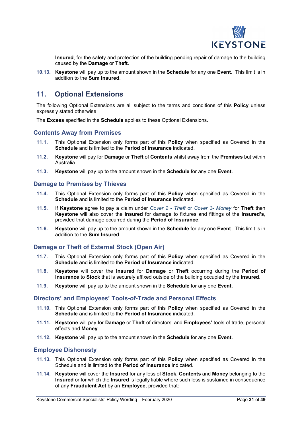

**Insured**, for the safety and protection of the building pending repair of damage to the building caused by the **Damage** or **Theft**.

**10.13. Keystone** will pay up to the amount shown in the **Schedule** for any one **Event**. This limit is in addition to the **Sum Insured**.

# **11. Optional Extensions**

The following Optional Extensions are all subject to the terms and conditions of this **Policy** unless expressly stated otherwise.

The **Excess** specified in the **Schedule** applies to these Optional Extensions.

#### **Contents Away from Premises**

- **11.1.** This Optional Extension only forms part of this **Policy** when specified as Covered in the **Schedule** and is limited to the **Period of Insurance** indicated.
- **11.2. Keystone** will pay for **Damage** or **Theft** of **Contents** whilst away from the **Premises** but within Australia.
- **11.3. Keystone** will pay up to the amount shown in the **Schedule** for any one **Event**.

#### **Damage to Premises by Thieves**

- **11.4.** This Optional Extension only forms part of this **Policy** when specified as Covered in the **Schedule** and is limited to the **Period of Insurance** indicated.
- **11.5.** If **Keystone** agree to pay a claim under *Cover 2 - Theft* or *Cover 3- Money* for **Theft** then **Keystone** will also cover the **Insured** for damage to fixtures and fittings of the **Insured's**, provided that damage occurred during the **Period of Insurance**.
- **11.6. Keystone** will pay up to the amount shown in the **Schedule** for any one **Event**. This limit is in addition to the **Sum Insured**.

### **Damage or Theft of External Stock (Open Air)**

- **11.7.** This Optional Extension only forms part of this **Policy** when specified as Covered in the **Schedule** and is limited to the **Period of Insurance** indicated.
- **11.8. Keystone** will cover the **Insured** for **Damage** or **Theft** occurring during the **Period of Insurance** to **Stock** that is securely affixed outside of the building occupied by the **Insured**.
- **11.9. Keystone** will pay up to the amount shown in the **Schedule** for any one **Event**.

#### **Directors' and Employees' Tools-of-Trade and Personal Effects**

- **11.10.** This Optional Extension only forms part of this **Policy** when specified as Covered in the **Schedule** and is limited to the **Period of Insurance** indicated.
- **11.11. Keystone** will pay for **Damage** or **Theft** of directors' and **Employees'** tools of trade, personal effects and **Money**.
- **11.12. Keystone** will pay up to the amount shown in the **Schedule** for any one **Event**.

#### **Employee Dishonesty**

- **11.13.** This Optional Extension only forms part of this **Policy** when specified as Covered in the Schedule and is limited to the **Period of Insurance** indicated.
- **11.14. Keystone** will cover the **Insured** for any loss of **Stock**, **Contents** and **Money** belonging to the **Insured** or for which the **Insured** is legally liable where such loss is sustained in consequence of any **Fraudulent Act** by an **Employee**, provided that: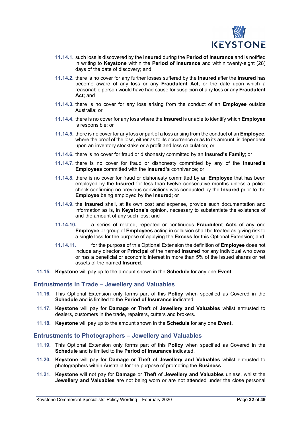

- **11.14.1.** such loss is discovered by the **Insured** during the **Period of Insurance** and is notified in writing to **Keystone** within the **Period of Insurance** and within twenty-eight (28) days of the date of discovery; and
- **11.14.2.** there is no cover for any further losses suffered by the **Insured** after the **Insured** has become aware of any loss or any **Fraudulent Act**, or the date upon which a reasonable person would have had cause for suspicion of any loss or any **Fraudulent Act**; and
- **11.14.3.** there is no cover for any loss arising from the conduct of an **Employee** outside Australia; or
- **11.14.4.** there is no cover for any loss where the **Insured** is unable to identify which **Employee** is responsible; or
- **11.14.5.** there is no cover for any loss or part of a loss arising from the conduct of an **Employee**, where the proof of the loss, either as to its occurrence or as to its amount, is dependent upon an inventory stocktake or a profit and loss calculation; or
- **11.14.6.** there is no cover for fraud or dishonesty committed by an **Insured's Family**; or
- **11.14.7.** there is no cover for fraud or dishonesty committed by any of the **Insured's Employees** committed with the **Insured's** connivance; or
- **11.14.8.** there is no cover for fraud or dishonesty committed by an **Employee** that has been employed by the **Insured** for less than twelve consecutive months unless a police check confirming no previous convictions was conducted by the **Insured** prior to the **Employee** being employed by the **Insured**; or
- **11.14.9.** the **Insured** shall, at its own cost and expense, provide such documentation and information as is, in **Keystone's** opinion, necessary to substantiate the existence of and the amount of any such loss; and
- **11.14.10.** a series of related, repeated or continuous **Fraudulent Acts** of any one **Employee** or group of **Employees** acting in collusion shall be treated as giving risk to a single loss for the purpose of applying the **Excess** for this Optional Extension; and
- **11.14.11.** for the purpose of this Optional Extension the definition of **Employee** does not include any director or **Principal** of the named **Insured** nor any individual who owns or has a beneficial or economic interest in more than 5% of the issued shares or net assets of the named **Insured**.
- **11.15. Keystone** will pay up to the amount shown in the **Schedule** for any one **Event**.

#### **Entrustments in Trade – Jewellery and Valuables**

- **11.16.** This Optional Extension only forms part of this **Policy** when specified as Covered in the **Schedule** and is limited to the **Period of Insurance** indicated.
- **11.17. Keystone** will pay for **Damage** or **Theft** of **Jewellery and Valuables** whilst entrusted to dealers, customers in the trade, repairers, cutters and brokers.
- **11.18. Keystone** will pay up to the amount shown in the **Schedule** for any one **Event**.

### **Entrustments to Photographers – Jewellery and Valuables**

- **11.19.** This Optional Extension only forms part of this **Policy** when specified as Covered in the **Schedule** and is limited to the **Period of Insurance** indicated.
- **11.20. Keystone** will pay for **Damage** or **Theft** of **Jewellery and Valuables** whilst entrusted to photographers within Australia for the purpose of promoting the **Business**.
- **11.21. Keystone** will not pay for **Damage** or **Theft** of **Jewellery and Valuables** unless, whilst the **Jewellery and Valuables** are not being worn or are not attended under the close personal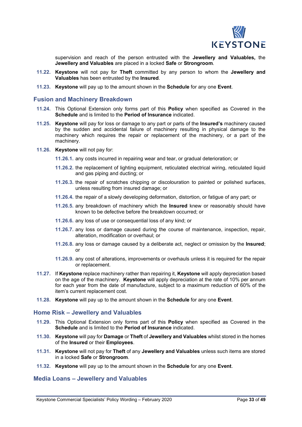

supervision and reach of the person entrusted with the **Jewellery and Valuables,** the **Jewellery and Valuables** are placed in a locked **Safe** or **Strongroom**.

- **11.22. Keystone** will not pay for **Theft** committed by any person to whom the **Jewellery and Valuables** has been entrusted by the **Insured**.
- **11.23. Keystone** will pay up to the amount shown in the **Schedule** for any one **Event**.

#### **Fusion and Machinery Breakdown**

- **11.24.** This Optional Extension only forms part of this **Policy** when specified as Covered in the **Schedule** and is limited to the **Period of Insurance** indicated.
- **11.25. Keystone** will pay for loss or damage to any part or parts of the **Insured's** machinery caused by the sudden and accidental failure of machinery resulting in physical damage to the machinery which requires the repair or replacement of the machinery, or a part of the machinery.
- **11.26. Keystone** will not pay for:
	- **11.26.1.** any costs incurred in repairing wear and tear, or gradual deterioration; or
	- **11.26.2.** the replacement of lighting equipment, reticulated electrical wiring, reticulated liquid and gas piping and ducting; or
	- **11.26.3.** the repair of scratches chipping or discolouration to painted or polished surfaces, unless resulting from insured damage; or
	- **11.26.4.** the repair of a slowly developing deformation, distortion, or fatigue of any part; or
	- **11.26.5.** any breakdown of machinery which the **Insured** knew or reasonably should have known to be defective before the breakdown occurred; or
	- **11.26.6.** any loss of use or consequential loss of any kind; or
	- **11.26.7.** any loss or damage caused during the course of maintenance, inspection, repair, alteration, modification or overhaul; or
	- **11.26.8.** any loss or damage caused by a deliberate act, neglect or omission by the **Insured**; or
	- **11.26.9.** any cost of alterations, improvements or overhauls unless it is required for the repair or replacement.
- **11.27.** If **Keystone** replace machinery rather than repairing it, **Keystone** will apply depreciation based on the age of the machinery. **Keystone** will apply depreciation at the rate of 10% per annum for each year from the date of manufacture, subject to a maximum reduction of 60% of the item's current replacement cost.
- **11.28. Keystone** will pay up to the amount shown in the **Schedule** for any one **Event**.

#### **Home Risk – Jewellery and Valuables**

- **11.29.** This Optional Extension only forms part of this **Policy** when specified as Covered in the **Schedule** and is limited to the **Period of Insurance** indicated.
- **11.30. Keystone** will pay for **Damage** or **Theft** of **Jewellery and Valuables** whilst stored in the homes of the **Insured** or their **Employees**.
- **11.31. Keystone** will not pay for **Theft** of any **Jewellery and Valuables** unless such items are stored in a locked **Safe** or **Strongroom**.
- **11.32. Keystone** will pay up to the amount shown in the **Schedule** for any one **Event**.

# **Media Loans – Jewellery and Valuables**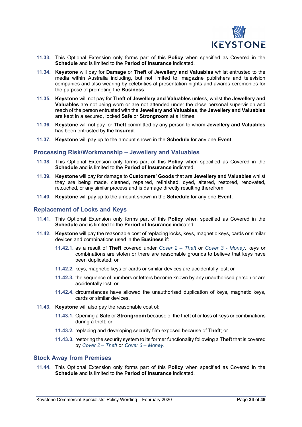

- **11.33.** This Optional Extension only forms part of this **Policy** when specified as Covered in the **Schedule** and is limited to the **Period of Insurance** indicated.
- **11.34. Keystone** will pay for **Damage** or **Theft** of **Jewellery and Valuables** whilst entrusted to the media within Australia including, but not limited to, magazine publishers and television companies and also wearing by celebrities at presentation nights and awards ceremonies for the purpose of promoting the **Business**.
- **11.35. Keystone** will not pay for **Theft** of **Jewellery and Valuables** unless, whilst the **Jewellery and Valuables** are not being worn or are not attended under the close personal supervision and reach of the person entrusted with the **Jewellery and Valuables**, the **Jewellery and Valuables** are kept in a secured, locked **Safe** or **Strongroom** at all times.
- **11.36. Keystone** will not pay for **Theft** committed by any person to whom **Jewellery and Valuables** has been entrusted by the **Insured**.
- **11.37. Keystone** will pay up to the amount shown in the **Schedule** for any one **Event**.

#### **Processing Risk/Workmanship – Jewellery and Valuables**

- **11.38.** This Optional Extension only forms part of this **Policy** when specified as Covered in the **Schedule** and is limited to the **Period of Insurance** indicated.
- **11.39. Keystone** will pay for damage to **Customers' Goods** that are **Jewellery and Valuables** whilst they are being made, cleaned, repaired, refinished, dyed, altered, restored, renovated, retouched, or any similar process and is damage directly resulting therefrom.
- **11.40. Keystone** will pay up to the amount shown in the **Schedule** for any one **Event**.

#### **Replacement of Locks and Keys**

- **11.41.** This Optional Extension only forms part of this **Policy** when specified as Covered in the **Schedule** and is limited to the **Period of Insurance** indicated.
- **11.42. Keystone** will pay the reasonable cost of replacing locks, keys, magnetic keys, cards or similar devices and combinations used in the **Business** if:
	- **11.42.1.** as a result of **Theft** covered under *Cover 2 – Theft* or *Cover 3 - Money*, keys or combinations are stolen or there are reasonable grounds to believe that keys have been duplicated; or
	- **11.42.2.** keys, magnetic keys or cards or similar devices are accidentally lost; or
	- **11.42.3.** the sequence of numbers or letters become known by any unauthorised person or are accidentally lost; or
	- **11.42.4.** circumstances have allowed the unauthorised duplication of keys, magnetic keys, cards or similar devices.
- **11.43. Keystone** will also pay the reasonable cost of:
	- **11.43.1.** Opening a **Safe** or **Strongroom** because of the theft of or loss of keys or combinations during a theft; or
	- **11.43.2.** replacing and developing security film exposed because of **Theft**; or
	- **11.43.3.** restoring the security system to its former functionality following a **Theft** that is covered by *Cover 2 – Theft* or *Cover 3 – Money*.

### **Stock Away from Premises**

**11.44.** This Optional Extension only forms part of this **Policy** when specified as Covered in the **Schedule** and is limited to the **Period of Insurance** indicated.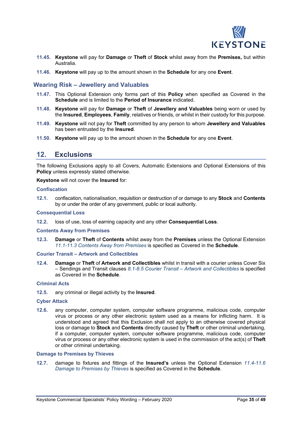

- **11.45. Keystone** will pay for **Damage** or **Theft** of **Stock** whilst away from the **Premises,** but within Australia.
- **11.46. Keystone** will pay up to the amount shown in the **Schedule** for any one **Event**.

# **Wearing Risk – Jewellery and Valuables**

- **11.47.** This Optional Extension only forms part of this **Policy** when specified as Covered in the **Schedule** and is limited to the **Period of Insurance** indicated.
- **11.48. Keystone** will pay for **Damage** or **Theft** of **Jewellery and Valuables** being worn or used by the **Insured**, **Employees**, **Family**, relatives or friends, or whilst in their custody for this purpose.
- **11.49. Keystone** will not pay for **Theft** committed by any person to whom **Jewellery and Valuables** has been entrusted by the **Insured**.
- **11.50. Keystone** will pay up to the amount shown in the **Schedule** for any one **Event**.

# **12. Exclusions**

The following Exclusions apply to all Covers, Automatic Extensions and Optional Extensions of this **Policy** unless expressly stated otherwise.

**Keystone** will not cover the **Insured** for:

#### **Confiscation**

**12.1.** confiscation, nationalisation, requisition or destruction of or damage to any **Stock** and **Contents** by or under the order of any government, public or local authority.

#### **Consequential Loss**

**12.2.** loss of use, loss of earning capacity and any other **Consequential Loss**.

#### **Contents Away from Premises**

**12.3. Damage** or **Theft** of **Contents** whilst away from the **Premises** unless the Optional Extension *11.1-11.3 Contents Away from Premises* is specified as Covered in the **Schedule**.

#### **Courier Transit – Artwork and Collectibles**

**12.4. Damage** or **Theft** of **Artwork and Collectibles** whilst in transit with a courier unless Cover Six – Sendings and Transit clauses *8.1-8.5 Courier Transit – Artwork and Collectibles* is specified as Covered in the **Schedule**.

#### **Criminal Acts**

**12.5.** any criminal or illegal activity by the **Insured**.

#### **Cyber Attack**

**12.6.** any computer, computer system, computer software programme, malicious code, computer virus or process or any other electronic system used as a means for inflicting harm. It is understood and agreed that this Exclusion shall not apply to an otherwise covered physical loss or damage to **Stock** and **Contents** directly caused by **Theft** or other criminal undertaking, if a computer, computer system, computer software programme, malicious code, computer virus or process or any other electronic system is used in the commission of the act(s) of **Theft** or other criminal undertaking.

#### **Damage to Premises by Thieves**

**12.7.** damage to fixtures and fittings of the **Insured's** unless the Optional Extension *11.4-11.6 Damage to Premises by Thieves* is specified as Covered in the **Schedule**.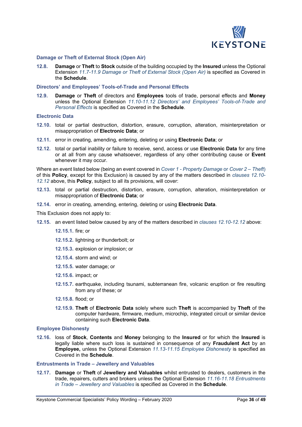

#### **Damage or Theft of External Stock (Open Air)**

**12.8. Damage** or **Theft** to **Stock** outside of the building occupied by the **Insured** unless the Optional Extension *11.7-11.9 Damage or Theft of External Stock (Open Air)* is specified as Covered in the **Schedule**.

#### **Directors' and Employees' Tools-of-Trade and Personal Effects**

**12.9. Damage** or **Theft** of directors and **Employees** tools of trade, personal effects and **Money** unless the Optional Extension *11.10-11.12 Directors' and Employees' Tools-of-Trade and Personal Effects* is specified as Covered in the **Schedule**.

#### **Electronic Data**

- **12.10.** total or partial destruction, distortion, erasure, corruption, alteration, misinterpretation or misappropriation of **Electronic Data**; or
- **12.11.** error in creating, amending, entering, deleting or using **Electronic Data**; or
- **12.12.** total or partial inability or failure to receive, send, access or use **Electronic Data** for any time or at all from any cause whatsoever, regardless of any other contributing cause or **Event** whenever it may occur.

Where an event listed below (being an event covered in *Cover 1 - Property Damage* or *Cover 2 – Theft*) of this **Policy**, except for this Exclusion) is caused by any of the matters described in *clauses 12.10- 12.12* above, this **Policy**, subject to all its provisions, will cover:

- **12.13.** total or partial destruction, distortion, erasure, corruption, alteration, misinterpretation or misappropriation of **Electronic Data**; or
- **12.14.** error in creating, amending, entering, deleting or using **Electronic Data**.

This Exclusion does not apply to:

- **12.15.** an event listed below caused by any of the matters described in *clauses 12.10-12.12* above:
	- **12.15.1.** fire; or
	- **12.15.2.** lightning or thunderbolt; or
	- **12.15.3.** explosion or implosion; or
	- **12.15.4.** storm and wind; or
	- **12.15.5.** water damage; or
	- **12.15.6.** impact; or
	- **12.15.7.** earthquake, including tsunami, subterranean fire, volcanic eruption or fire resulting from any of these; or
	- **12.15.8.** flood; or
	- **12.15.9. Theft** of **Electronic Data** solely where such **Theft** is accompanied by **Theft** of the computer hardware, firmware, medium, microchip, integrated circuit or similar device containing such **Electronic Data**.

#### **Employee Dishonesty**

**12.16.** loss of **Stock**, **Contents** and **Money** belonging to the **Insured** or for which the **Insured** is legally liable where such loss is sustained in consequence of any **Fraudulent Act** by an **Employee,** unless the Optional Extension *11.13-11.15 Employee Dishonesty* is specified as Covered in the **Schedule**.

#### **Entrustments in Trade – Jewellery and Valuables**

**12.17. Damage** or **Theft** of **Jewellery and Valuables** whilst entrusted to dealers, customers in the trade, repairers, cutters and brokers unless the Optional Extension *11.16-11.18 Entrustments in Trade – Jewellery and Valuables* is specified as Covered in the **Schedule**.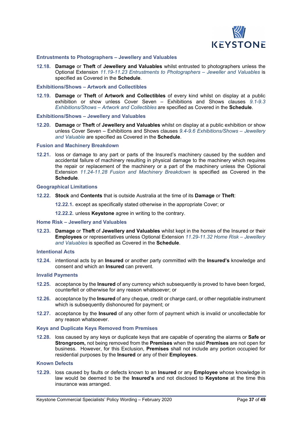

#### **Entrustments to Photographers – Jewellery and Valuables**

**12.18. Damage** or **Theft** of **Jewellery and Valuables** whilst entrusted to photographers unless the Optional Extension *11.19-11.23 Entrustments to Photographers – Jeweller and Valuables* is specified as Covered in the **Schedule**.

#### **Exhibitions/Shows – Artwork and Collectibles**

**12.19. Damage** or **Theft** of **Artwork and Collectibles** of every kind whilst on display at a public exhibition or show unless Cover Seven – Exhibitions and Shows clauses *9.1-9.3 Exhibitions/Shows – Artwork and Collectibles* are specified as Covered in the **Schedule**.

#### **Exhibitions/Shows – Jewellery and Valuables**

**12.20. Damage** or **Theft** of **Jewellery and Valuables** whilst on display at a public exhibition or show unless Cover Seven – Exhibitions and Shows clauses *9.4-9.6 Exhibitions/Shows – Jewellery and Valuable* are specified as Covered in the **Schedule**.

#### **Fusion and Machinery Breakdown**

**12.21.** loss or damage to any part or parts of the Insured's machinery caused by the sudden and accidental failure of machinery resulting in physical damage to the machinery which requires the repair or replacement of the machinery or a part of the machinery unless the Optional Extension *11.24-11.28 Fusion and Machinery Breakdown* is specified as Covered in the **Schedule**.

#### **Geographical Limitations**

**12.22. Stock** and **Contents** that is outside Australia at the time of its **Damage** or **Theft**:

**12.22.1.** except as specifically stated otherwise in the appropriate Cover; or

**12.22.2.** unless **Keystone** agree in writing to the contrary.

#### **Home Risk – Jewellery and Valuables**

**12.23. Damage** or **Theft** of **Jewellery and Valuables** whilst kept in the homes of the Insured or their **Employees** or representatives unless Optional Extension *11.29-11.32 Home Risk – Jewellery and Valuables* is specified as Covered in the **Schedule**.

#### **Intentional Acts**

**12.24.** intentional acts by an **Insured** or another party committed with the **Insured's** knowledge and consent and which an **Insured** can prevent.

#### **Invalid Payments**

- **12.25.** acceptance by the **Insured** of any currency which subsequently is proved to have been forged, counterfeit or otherwise for any reason whatsoever; or
- **12.26.** acceptance by the **Insured** of any cheque, credit or charge card, or other negotiable instrument which is subsequently dishonoured for payment; or
- **12.27.** acceptance by the **Insured** of any other form of payment which is invalid or uncollectable for any reason whatsoever.

#### **Keys and Duplicate Keys Removed from Premises**

**12.28.** loss caused by any keys or duplicate keys that are capable of operating the alarms or **Safe or Strongroom,** not being removed from the **Premises** when the said **Premises** are not open for business. However, for this Exclusion, **Premises** shall not include any portion occupied for residential purposes by the **Insured** or any of their **Employees**.

#### **Known Defects**

**12.29.** loss caused by faults or defects known to an **Insured** or any **Employee** whose knowledge in law would be deemed to be the **Insured's** and not disclosed to **Keystone** at the time this insurance was arranged.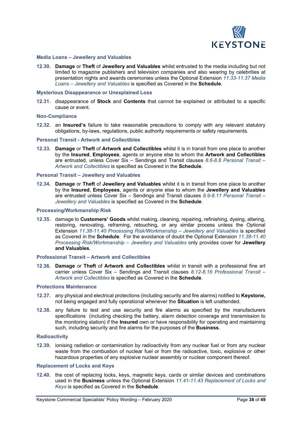

#### **Media Loans – Jewellery and Valuables**

**12.30. Damage** or **Theft** of **Jewellery and Valuables** whilst entrusted to the media including but not limited to magazine publishers and television companies and also wearing by celebrities at presentation nights and awards ceremonies unless the Optional Extension *11.33-11.37 Media Loans – Jewellery and Valuables* is specified as Covered in the **Schedule**.

#### **Mysterious Disappearance or Unexplained Loss**

**12.31.** disappearance of **Stock** and **Contents** that cannot be explained or attributed to a specific cause or event.

#### **Non-Compliance**

**12.32.** an **Insured's** failure to take reasonable precautions to comply with any relevant statutory obligations, by-laws, regulations, public authority requirements or safety requirements.

#### **Personal Transit - Artwork and Collectibles**

**12.33. Damage** or **Theft** of **Artwork and Collectibles** whilst it is in transit from one place to another by the **Insured**, **Employees**, agents or anyone else to whom the **Artwork and Collectibles** are entrusted, unless Cover Six – Sendings and Transit clauses *8.6-8.8 Personal Transit – Artwork and Collectibles* is specified as Covered in the **Schedule**.

#### **Personal Transit – Jewellery and Valuables**

**12.34. Damage** or **Theft** of **Jewellery and Valuables** whilst it is in transit from one place to another by the **Insured**, **Employees**, agents or anyone else to whom the **Jewellery and Valuables** are entrusted unless Cover Six – Sendings and Transit clauses *8.9-8.11 Personal Transit – Jewellery and Valuables* is specified as Covered in the **Schedule**.

#### **Processing/Workmanship Risk**

**12.35.** damage to **Customers' Goods** whilst making, cleaning, repairing, refinishing, dyeing, altering, restoring, renovating, reframing, retouching, or any similar process unless the Optional Extension *11.38-11.40 Processing Risk/Workmanship – Jewellery and Valuables* is specified as Covered in the **Schedule**. For the avoidance of doubt the Optional Extension *11.38-11.40 Processing Risk/Workmanship – Jewellery and Valuables* only provides cover for **Jewellery and Valuables**.

#### **Professional Transit – Artwork and Collectibles**

**12.36. Damage** or **Theft** of **Artwork and Collectibles** whilst in transit with a professional fine art carrier unless Cover Six – Sendings and Transit clauses *8.12-8.16 Professional Transit – Artwork and Collectibles* is specified as Covered in the **Schedule**.

#### **Protections Maintenance**

- **12.37.** any physical and electrical protections (including security and fire alarms) notified to **Keystone,** not being engaged and fully operational whenever the **Situation** is left unattended.
- **12.38.** any failure to test and use security and fire alarms as specified by the manufacturers specifications (including checking the battery, alarm detection coverage and transmission to the monitoring station) if the **Insured** own or have responsibility for operating and maintaining such, including security and fire alarms for the purposes of the **Business**.

#### **Radioactivity**

**12.39.** ionising radiation or contamination by radioactivity from any nuclear fuel or from any nuclear waste from the combustion of nuclear fuel or from the radioactive, toxic, explosive or other hazardous properties of any explosive nuclear assembly or nuclear component thereof.

#### **Replacement of Locks and Keys**

**12.40.** the cost of replacing locks, keys, magnetic keys, cards or similar devices and combinations used in the **Business** unless the Optional Extension *11.41-11.43 Replacement of Locks and Keys* is specified as Covered in the **Schedule**.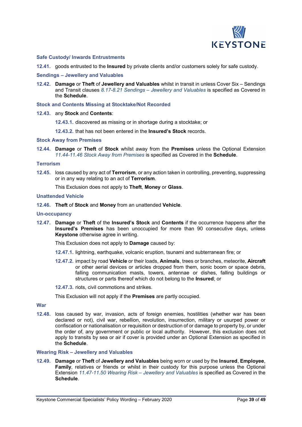

#### **Safe Custody/ Inwards Entrustments**

**12.41.** goods entrusted to the **Insured** by private clients and/or customers solely for safe custody.

#### **Sendings – Jewellery and Valuables**

**12.42. Damage** or **Theft** of **Jewellery and Valuables** whilst in transit in unless Cover Six – Sendings and Transit clauses *8.17-8.21 Sendings – Jewellery and Valuables* is specified as Covered in the **Schedule**.

**Stock and Contents Missing at Stocktake/Not Recorded**

- **12.43.** any **Stock** and **Contents**:
	- **12.43.1.** discovered as missing or in shortage during a stocktake; or
	- **12.43.2.** that has not been entered in the **Insured's Stock** records.

#### **Stock Away from Premises**

**12.44. Damage** or **Theft** of **Stock** whilst away from the **Premises** unless the Optional Extension *11.44-11.46 Stock Away from Premises* is specified as Covered in the **Schedule**.

#### **Terrorism**

**12.45.** loss caused by any act of **Terrorism**, or any action taken in controlling, preventing, suppressing or in any way relating to an act of **Terrorism**.

This Exclusion does not apply to **Theft**, **Money** or **Glass**.

#### **Unattended Vehicle**

**12.46. Theft** of **Stock** and **Money** from an unattended **Vehicle**.

#### **Un-occupancy**

**12.47. Damage** or **Theft** of the **Insured's Stock** and **Contents** if the occurrence happens after the **Insured's Premises** has been unoccupied for more than 90 consecutive days, unless **Keystone** otherwise agree in writing.

This Exclusion does not apply to **Damage** caused by:

- **12.47.1.** lightning, earthquake, volcanic eruption, tsunami and subterranean fire; or
- **12.47.2.** impact by road **Vehicle** or their loads, **Animals**, trees or branches, meteorite, **Aircraft** or other aerial devices or articles dropped from them, sonic boom or space debris, falling communication masts, towers, antennae or dishes, falling buildings or structures or parts thereof which do not belong to the **Insured**; or
- **12.47.3.** riots, civil commotions and strikes.

This Exclusion will not apply if the **Premises** are partly occupied.

#### **War**

**12.48.** loss caused by war, invasion, acts of foreign enemies, hostilities (whether war has been declared or not), civil war, rebellion, revolution, insurrection, military or usurped power or confiscation or nationalisation or requisition or destruction of or damage to property by, or under the order of, any government or public or local authority. However, this exclusion does not apply to transits by sea or air if cover is provided under an Optional Extension as specified in the **Schedule**.

### **Wearing Risk – Jewellery and Valuables**

**12.49. Damage** or **Theft** of **Jewellery and Valuables** being worn or used by the **Insured**, **Employee**, **Family**, relatives or friends or whilst in their custody for this purpose unless the Optional Extension *11.47-11.50 Wearing Risk – Jewellery and Valuables* is specified as Covered in the **Schedule**.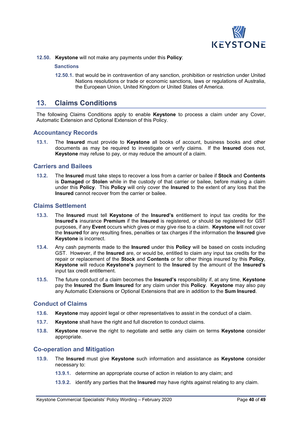

**12.50. Keystone** will not make any payments under this **Policy**:

#### **Sanctions**

**12.50.1.** that would be in contravention of any sanction, prohibition or restriction under United Nations resolutions or trade or economic sanctions, laws or regulations of Australia, the European Union, United Kingdom or United States of America.

# **13. Claims Conditions**

The following Claims Conditions apply to enable **Keystone** to process a claim under any Cover, Automatic Extension and Optional Extension of this Policy.

### **Accountancy Records**

**13.1.** The **Insured** must provide to **Keystone** all books of account, business books and other documents as may be required to investigate or verify claims. If the **Insured** does not, **Keystone** may refuse to pay, or may reduce the amount of a claim.

### **Carriers and Bailees**

**13.2.** The **Insured** must take steps to recover a loss from a carrier or bailee if **Stock** and **Contents** is **Damaged** or **Stolen** while in the custody of that carrier or bailee, before making a claim under this **Policy**. This **Policy** will only cover the **Insured** to the extent of any loss that the **Insured** cannot recover from the carrier or bailee.

# **Claims Settlement**

- **13.3.** The **Insured** must tell **Keystone** of the **Insured's** entitlement to input tax credits for the **Insured's** insurance **Premium** if the **Insured** is registered, or should be registered for GST purposes, if any **Event** occurs which gives or may give rise to a claim. **Keystone** will not cover the **Insured** for any resulting fines, penalties or tax charges if the information the **Insured** give **Keystone** is incorrect.
- **13.4.** Any cash payments made to the **Insured** under this **Policy** will be based on costs including GST. However, if the **Insured** are, or would be, entitled to claim any input tax credits for the repair or replacement of the **Stock** and **Contents** or for other things insured by this **Policy**, **Keystone** will reduce **Keystone's** payment to the **Insured** by the amount of the **Insured's** input tax credit entitlement.
- **13.5.** The future conduct of a claim becomes the **Insured's** responsibility if, at any time, **Keystone** pay the **Insured** the **Sum Insured** for any claim under this **Policy**. **Keystone** may also pay any Automatic Extensions or Optional Extensions that are in addition to the **Sum Insured**.

#### **Conduct of Claims**

- **13.6. Keystone** may appoint legal or other representatives to assist in the conduct of a claim.
- **13.7. Keystone** shall have the right and full discretion to conduct claims.
- **13.8. Keystone** reserve the right to negotiate and settle any claim on terms **Keystone** consider appropriate.

#### **Co-operation and Mitigation**

- **13.9.** The **Insured** must give **Keystone** such information and assistance as **Keystone** consider necessary to:
	- **13.9.1.** determine an appropriate course of action in relation to any claim; and
	- **13.9.2.** identify any parties that the **Insured** may have rights against relating to any claim.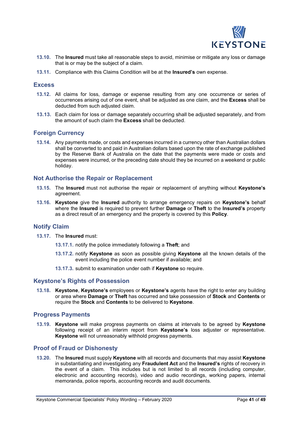

- **13.10.** The **Insured** must take all reasonable steps to avoid, minimise or mitigate any loss or damage that is or may be the subject of a claim.
- **13.11.** Compliance with this Claims Condition will be at the **Insured's** own expense.

#### **Excess**

- **13.12.** All claims for loss, damage or expense resulting from any one occurrence or series of occurrences arising out of one event, shall be adjusted as one claim, and the **Excess** shall be deducted from such adjusted claim.
- **13.13.** Each claim for loss or damage separately occurring shall be adjusted separately, and from the amount of such claim the **Excess** shall be deducted.

# **Foreign Currency**

**13.14.** Any payments made, or costs and expenses incurred in a currency other than Australian dollars shall be converted to and paid in Australian dollars based upon the rate of exchange published by the Reserve Bank of Australia on the date that the payments were made or costs and expenses were incurred, or the preceding date should they be incurred on a weekend or public holiday.

### **Not Authorise the Repair or Replacement**

- **13.15.** The **Insured** must not authorise the repair or replacement of anything without **Keystone's** agreement.
- **13.16. Keystone** give the **Insured** authority to arrange emergency repairs on **Keystone's** behalf where the **Insured** is required to prevent further **Damage** or **Theft** to the **Insured's** property as a direct result of an emergency and the property is covered by this **Policy**.

#### **Notify Claim**

- **13.17.** The **Insured** must:
	- **13.17.1.** notify the police immediately following a **Theft**; and
	- **13.17.2.** notify **Keystone** as soon as possible giving **Keystone** all the known details of the event including the police event number if available; and
	- **13.17.3.** submit to examination under oath if **Keystone** so require.

### **Keystone's Rights of Possession**

**13.18. Keystone**, **Keystone's** employees or **Keystone's** agents have the right to enter any building or area where **Damage** or **Theft** has occurred and take possession of **Stock** and **Contents** or require the **Stock** and **Contents** to be delivered to **Keystone**.

#### **Progress Payments**

**13.19. Keystone** will make progress payments on claims at intervals to be agreed by **Keystone** following receipt of an interim report from **Keystone's** loss adjuster or representative. **Keystone** will not unreasonably withhold progress payments.

#### **Proof of Fraud or Dishonesty**

**13.20.** The **Insured** must supply **Keystone** with all records and documents that may assist **Keystone** in substantiating and investigating any **Fraudulent Act** and the **Insured's** rights of recovery in the event of a claim. This includes but is not limited to all records (including computer, electronic and accounting records), video and audio recordings, working papers, internal memoranda, police reports, accounting records and audit documents.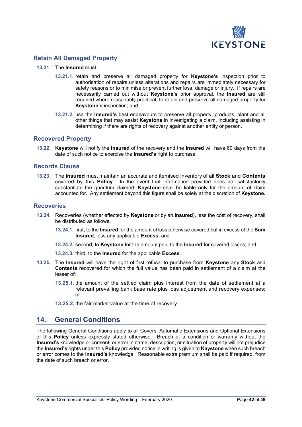

# **Retain All Damaged Property**

- **13.21.** The **Insured** must:
	- **13.21.1.** retain and preserve all damaged property for **Keystone's** inspection prior to authorisation of repairs unless alterations and repairs are immediately necessary for safety reasons or to minimise or prevent further loss, damage or injury. If repairs are necessarily carried out without **Keystone's** prior approval, the **Insured** are still required where reasonably practical, to retain and preserve all damaged property for **Keystone's** inspection; and
	- **13.21.2.** use the **Insured's** best endeavours to preserve all property, products, plant and all other things that may assist **Keystone** in investigating a claim, including assisting in determining if there are rights of recovery against another entity or person.

## **Recovered Property**

**13.22. Keystone** will notify the **Insured** of the recovery and the **Insured** will have 60 days from the date of such notice to exercise the **Insured's** right to purchase.

### **Records Clause**

**13.23.** The **Insured** must maintain an accurate and itemised inventory of all **Stock** and **Contents** covered by this **Policy**. In the event that information provided does not satisfactorily substantiate the quantum claimed, **Keystone** shall be liable only for the amount of claim accounted for. Any settlement beyond this figure shall be solely at the discretion of **Keystone.**

#### **Recoveries**

- **13.24.** Recoveries (whether effected by **Keystone** or by an **Insured**), less the cost of recovery, shall be distributed as follows:
	- **13.24.1.** first, to the **Insured** for the amount of loss otherwise covered but in excess of the **Sum Insured**, less any applicable **Excess**; and
	- **13.24.2.** second, to **Keystone** for the amount paid to the **Insured** for covered losses; and

**13.24.3.** third, to the **Insured** for the applicable **Excess**.

- **13.25.** The **Insured** will have the right of first refusal to purchase from **Keystone** any **Stock** and **Contents** recovered for which the full value has been paid in settlement of a claim at the lesser of:
	- **13.25.1.** the amount of the settled claim plus interest from the date of settlement at a relevant prevailing bank base rate plus loss adjustment and recovery expenses; or
	- **13.25.2.** the fair market value at the time of recovery.

# **14. General Conditions**

The following General Conditions apply to all Covers, Automatic Extensions and Optional Extensions of this **Policy** unless expressly stated otherwise. Breach of a condition or warranty without the **Insured's** knowledge or consent, or error in name, description, or situation of property will not prejudice the **Insured's** rights under this **Policy** provided notice in writing is given to **Keystone** when such breach or error comes to the **Insured's** knowledge. Reasonable extra premium shall be paid if required, from the date of such breach or error.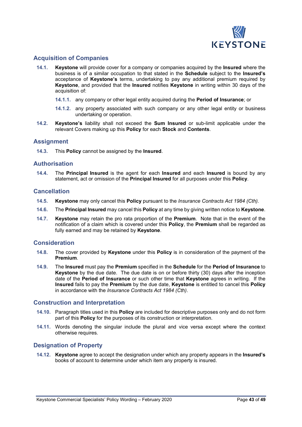

# **Acquisition of Companies**

- **14.1. Keystone** will provide cover for a company or companies acquired by the **Insured** where the business is of a similar occupation to that stated in the **Schedule** subject to the **Insured's** acceptance of **Keystone's** terms, undertaking to pay any additional premium required by **Keystone**, and provided that the **Insured** notifies **Keystone** in writing within 30 days of the acquisition of:
	- **14.1.1.** any company or other legal entity acquired during the **Period of Insurance**; or
	- **14.1.2.** any property associated with such company or any other legal entity or business undertaking or operation.
- **14.2. Keystone's** liability shall not exceed the **Sum Insured** or sub-limit applicable under the relevant Covers making up this **Policy** for each **Stock** and **Contents**.

#### **Assignment**

**14.3.** This **Policy** cannot be assigned by the **Insured**.

#### **Authorisation**

**14.4.** The **Principal Insured** is the agent for each **Insured** and each **Insured** is bound by any statement, act or omission of the **Principal Insured** for all purposes under this **Policy**.

### **Cancellation**

- **14.5. Keystone** may only cancel this **Policy** pursuant to the *Insurance Contracts Act 1984 (Cth).*
- **14.6.** The **Principal Insured** may cancel this **Policy** at any time by giving written notice to **Keystone**.
- **14.7. Keystone** may retain the pro rata proportion of the **Premium**. Note that in the event of the notification of a claim which is covered under this **Policy**, the **Premium** shall be regarded as fully earned and may be retained by **Keystone**.

#### **Consideration**

- **14.8.** The cover provided by **Keystone** under this **Policy** is in consideration of the payment of the **Premium**.
- **14.9.** The **Insured** must pay the **Premium** specified in the **Schedule** for the **Period of Insurance** to **Keystone** by the due date. The due date is on or before thirty (30) days after the inception date of the **Period of Insurance** or such other time that **Keystone** agrees in writing. If the **Insured** fails to pay the **Premium** by the due date, **Keystone** is entitled to cancel this **Policy** in accordance with the *Insurance Contracts Act 1984 (Cth)*.

#### **Construction and Interpretation**

- **14.10.** Paragraph titles used in this **Policy** are included for descriptive purposes only and do not form part of this **Policy** for the purposes of its construction or interpretation.
- **14.11.** Words denoting the singular include the plural and vice versa except where the context otherwise requires.

#### **Designation of Property**

**14.12. Keystone** agree to accept the designation under which any property appears in the **Insured's** books of account to determine under which item any property is insured.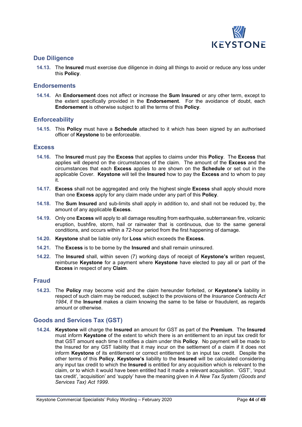

### **Due Diligence**

**14.13.** The **Insured** must exercise due diligence in doing all things to avoid or reduce any loss under this **Policy**.

### **Endorsements**

**14.14.** An **Endorsement** does not affect or increase the **Sum Insured** or any other term, except to the extent specifically provided in the **Endorsement**. For the avoidance of doubt, each **Endorsement** is otherwise subject to all the terms of this **Policy**.

### **Enforceability**

**14.15.** This **Policy** must have a **Schedule** attached to it which has been signed by an authorised officer of **Keystone** to be enforceable.

#### **Excess**

- **14.16.** The **Insured** must pay the **Excess** that applies to claims under this **Policy**. The **Excess** that applies will depend on the circumstances of the claim. The amount of the **Excess** and the circumstances that each **Excess** applies to are shown on the **Schedule** or set out in the applicable Cover. **Keystone** will tell the **Insured** how to pay the **Excess** and to whom to pay it.
- **14.17. Excess** shall not be aggregated and only the highest single **Excess** shall apply should more than one **Excess** apply for any claim made under any part of this **Policy**.
- **14.18.** The **Sum Insured** and sub-limits shall apply in addition to, and shall not be reduced by, the amount of any applicable **Excess**.
- **14.19.** Only one **Excess** will apply to all damage resulting from earthquake, subterranean fire, volcanic eruption, bushfire, storm, hail or rainwater that is continuous, due to the same general conditions, and occurs within a 72-hour period from the first happening of damage.
- **14.20. Keystone** shall be liable only for **Loss** which exceeds the **Excess**.
- **14.21.** The **Excess** is to be borne by the **Insured** and shall remain uninsured.
- **14.22.** The **Insured** shall, within seven (7) working days of receipt of **Keystone's** written request, reimburse **Keystone** for a payment where **Keystone** have elected to pay all or part of the **Excess** in respect of any **Claim**.

### **Fraud**

**14.23.** The **Policy** may become void and the claim hereunder forfeited, or **Keystone's** liability in respect of such claim may be reduced, subject to the provisions of the *Insurance Contracts Act 1984*, if the **Insured** makes a claim knowing the same to be false or fraudulent, as regards amount or otherwise.

# **Goods and Services Tax (GST)**

**14.24. Keystone** will charge the **Insured** an amount for GST as part of the **Premium**. The **Insured** must inform **Keystone** of the extent to which there is an entitlement to an input tax credit for that GST amount each time it notifies a claim under this **Policy**. No payment will be made to the Insured for any GST liability that it may incur on the settlement of a claim if it does not inform **Keystone** of its entitlement or correct entitlement to an input tax credit. Despite the other terms of this **Policy**, **Keystone's** liability to the **Insured** will be calculated considering any input tax credit to which the **Insured** is entitled for any acquisition which is relevant to the claim, or to which it would have been entitled had it made a relevant acquisition. 'GST', 'input tax credit', 'acquisition' and 'supply' have the meaning given in *A New Tax System (Goods and Services Tax) Act 1999*.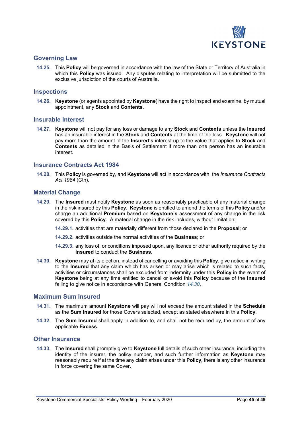

### **Governing Law**

**14.25.** This **Policy** will be governed in accordance with the law of the State or Territory of Australia in which this **Policy** was issued. Any disputes relating to interpretation will be submitted to the exclusive jurisdiction of the courts of Australia.

#### **Inspections**

**14.26. Keystone** (or agents appointed by **Keystone**) have the right to inspect and examine, by mutual appointment, any **Stock** and **Contents**.

#### **Insurable Interest**

**14.27. Keystone** will not pay for any loss or damage to any **Stock** and **Contents** unless the **Insured** has an insurable interest in the **Stock** and **Contents** at the time of the loss. **Keystone** will not pay more than the amount of the **Insured's** interest up to the value that applies to **Stock** and **Contents** as detailed in the Basis of Settlement if more than one person has an insurable interest.

## **Insurance Contracts Act 1984**

**14.28.** This **Policy** is governed by, and **Keystone** will act in accordance with, the *Insurance Contracts Act 1984* (Cth).

#### **Material Change**

- **14.29.** The **Insured** must notify **Keystone** as soon as reasonably practicable of any material change in the risk insured by this **Policy**. **Keystone** is entitled to amend the terms of this **Policy** and/or charge an additional **Premium** based on **Keystone's** assessment of any change in the risk covered by this **Policy**. A material change in the risk includes, without limitation:
	- **14.29.1.** activities that are materially different from those declared in the **Proposal**; or
	- **14.29.2.** activities outside the normal activities of the **Business**; or
	- **14.29.3.** any loss of, or conditions imposed upon, any licence or other authority required by the **Insured** to conduct the **Business**.
- **14.30. Keystone** may at its election, instead of cancelling or avoiding this **Policy**, give notice in writing to the **Insured** that any claim which has arisen or may arise which is related to such facts, activities or circumstances shall be excluded from indemnity under this **Policy** in the event of **Keystone** being at any time entitled to cancel or avoid this **Policy** because of the **Insured** failing to give notice in accordance with General Condition *14.30*.

#### **Maximum Sum Insured**

- **14.31.** The maximum amount **Keystone** will pay will not exceed the amount stated in the **Schedule** as the **Sum Insured** for those Covers selected, except as stated elsewhere in this **Policy**.
- **14.32.** The **Sum Insured** shall apply in addition to, and shall not be reduced by, the amount of any applicable **Excess**.

#### **Other Insurance**

**14.33.** The **Insured** shall promptly give to **Keystone** full details of such other insurance, including the identity of the insurer, the policy number, and such further information as **Keystone** may reasonably require if at the time any claim arises under this **Policy,** there is any other insurance in force covering the same Cover.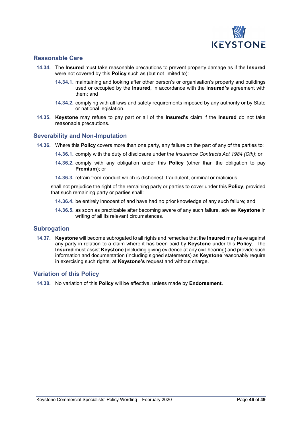

### **Reasonable Care**

- **14.34.** The **Insured** must take reasonable precautions to prevent property damage as if the **Insured** were not covered by this **Policy** such as (but not limited to):
	- **14.34.1.** maintaining and looking after other person's or organisation's property and buildings used or occupied by the **Insured**, in accordance with the **Insured's** agreement with them; and
	- **14.34.2.** complying with all laws and safety requirements imposed by any authority or by State or national legislation.
- **14.35. Keystone** may refuse to pay part or all of the **Insured's** claim if the **Insured** do not take reasonable precautions.

#### **Severability and Non-Imputation**

- **14.36.** Where this **Policy** covers more than one party, any failure on the part of any of the parties to:
	- **14.36.1.** comply with the duty of disclosure under the *Insurance Contracts Act 1984 (Cth)*; or
	- **14.36.2.** comply with any obligation under this **Policy** (other than the obligation to pay **Premium**); or
	- **14.36.3.** refrain from conduct which is dishonest, fraudulent, criminal or malicious,

shall not prejudice the right of the remaining party or parties to cover under this **Policy**, provided that such remaining party or parties shall:

- **14.36.4.** be entirely innocent of and have had no prior knowledge of any such failure; and
- **14.36.5.** as soon as practicable after becoming aware of any such failure, advise **Keystone** in writing of all its relevant circumstances.

#### **Subrogation**

**14.37. Keystone** will become subrogated to all rights and remedies that the **Insured** may have against any party in relation to a claim where it has been paid by **Keystone** under this **Policy**. The **Insured** must assist **Keystone** (including giving evidence at any civil hearing) and provide such information and documentation (including signed statements) as **Keystone** reasonably require in exercising such rights, at **Keystone's** request and without charge.

#### **Variation of this Policy**

**14.38.** No variation of this **Policy** will be effective, unless made by **Endorsement**.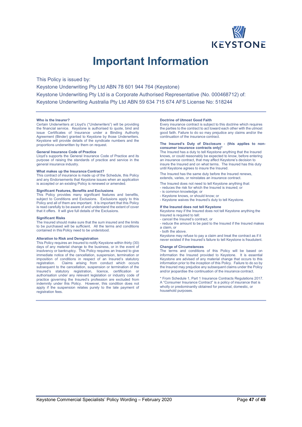

# **Important Information**

This Policy is issued by:

Keystone Underwriting Pty Ltd ABN 78 601 944 764 (Keystone) Keystone Underwriting Pty Ltd is a Corporate Authorised Representative (No. 000468712) of: Keystone Underwriting Australia Pty Ltd ABN 59 634 715 674 AFS License No: 518244

#### **Who is the Insurer?**

Certain Underwriters at Lloyd's ("Underwriters") will be providing the financial service. Keystone is authorised to quote, bind and issue Certificates of Insurance under a Binding Authority Agreement (Binder) granted to Keystone by those Underwriters. Keystone will provide details of the syndicate numbers and the proportions underwritten by them on request.

#### **General Insurance Code of Practice**

Lloyd's supports the General Insurance Code of Practice and its purpose of raising the standards of practice and service in the general insurance industry.

#### **What makes up the Insurance Contract?**

This contract of insurance is made up of the Schedule, this Policy and any Endorsements that Keystone issues when an application is accepted or an existing Policy is renewed or amended.

#### **Significant Features, Benefits and Exclusions**

This Policy provides many significant features and benefits, subject to Conditions and Exclusions. Exclusions apply to this Policy and all of them are important. It is important that this Policy is read carefully to be aware of and understand the extent of cover that it offers. It will give full details of the Exclusions.

#### **Significant Risks**

The Insured should make sure that the sum insured and the limits to be purchased will be sufficient. All the terms and conditions contained in this Policy need to be understood.

#### **Alteration to Risk and Deregistration**

This Policy requires an Insured to notify Keystone within thirty (30) days of any material change to the business, or in the event of insolvency or bankruptcy. This Policy requires an Insured to give immediate notice of the cancellation, suspension, termination or imposition of conditions in respect of an Insured's statutory registration. Claims arising from conduct which occurs Claims arising from conduct which occurs subsequent to the cancellation, suspension or termination of the Insured's statutory registration, licence, certification or authorisation under any relevant legislation or industry code of practice governing the Insured's profession are excluded from indemnity under this Policy. However, this condition does not apply if the suspension relates purely to the late payment of registration fees.

#### **Doctrine of Utmost Good Faith**

Every insurance contract is subject to this doctrine which requires the parties to the contract to act toward each other with the utmost good faith. Failure to do so may prejudice any claims and/or the continuation of the insurance contract.

#### **The Insured's Duty of Disclosure - (this applies to nonconsumer insurance contracts only)\***

The Insured has a duty to tell Keystone anything that the Insured knows, or could reasonably be expected to know, before entering an insurance contract, that may affect Keystone's decision to insure the Insured and on what terms. The Insured has this duty until Keystone agrees to insure the Insured.

The Insured has the same duty before the Insured renews, extends, varies, or reinstates an insurance contract.

The Insured does not need to tell Keystone anything that:

reduces the risk for which the Insured is insured; or

- is common knowledge; or
- Keystone knows, or should know; or
- Keystone waives the Insured's duty to tell Keystone.

**If the Insured does not tell Keystone** Keystone may if the Insured does not tell Keystone anything the Insured is required to tell:

- cancel the Insured's contract, or

- reduce the amount to be paid to the Insured if the Insured makes a claim, or

- both the above.

Keystone may refuse to pay a claim and treat the contract as if it never existed if the Insured's failure to tell Keystone is fraudulent.

#### **Change of Circumstances**

The terms and conditions of this Policy will be based on information the Insured provided to Keystone. It is essential Keystone are advised of any material change that occurs to this information prior to the inception of this Policy. Failure to do so by the Insured may prejudice any subsequent claims under the Policy and/or jeopardise the continuation of the insurance contract.

From Schedule 1, Part 1 Insurance Contracts Regulations 2017. A "Consumer Insurance Contract" is a policy of insurance that is wholly or predominantly obtained for personal, domestic, or household purposes.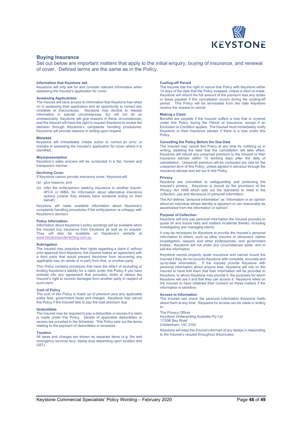

#### **Buying Insurance**

Set out below are important matters that apply to the initial enquiry, buying of insurance, and renewal of cover. Defined terms are the same as in the Policy.

#### **Information that Keystone ask**

Keystone will only ask for and consider relevant information when assessing the Insured's application for cover.

#### **Assessing Applications**

The Insured will have access to information that Keystone has relied on in assessing their application and an opportunity to correct any mistakes or inaccuracies. Keystone may decline to release Keystone may decline to release information in special circumstances, but will not do so unreasonably. Keystone will give reasons in these circumstances, and the Insured will have the right to request Keystone to review the decision through Keystone's complaints handling procedures. Keystone will provide reasons in writing upon request.

#### **Mistakes**

Keystone will immediately initiate action to correct an error or mistake in assessing the Insured's application for cover where it is identified.

#### **Misrepresentation**

Keystone's sales process will be conducted in a fair, honest and transparent manner.

#### **Declining Cover**

If Keystone cannot provide insurance cover, Keystonewill:

- (a) give reasons; and
- (b) refer the entity/person seeking insurance to another insurer, AFCA or NIBA, for information about alternative insurance options (unless they already have someone acting on their behalf).

Keystone will make available information about Keystone's complaints handling procedures if the entity/person is unhappy with Keystone's decision.

#### **Policy Information**

Information about Keystone's policy wordings will be available when the Insured buy insurance from Keystone as well as on request. They will also be available on Keystone's website at [www.keystoneunderwriting.com.au.](http://www.keystoneunderwriting.com.au/)

#### **Subrogation**

The Insured may prejudice their rights regarding a claim if, without prior approval from Keystone, the Insured makes an agreement with a third party that would prevent Keystone from recovering any applicable loss (in whole or in part) from that, or another party.

This Policy contains provisions that have the effect of excluding or limiting Keystone's liability for a claim under this Policy if you have entered into any agreement that excludes, limits or delays the Insured's right to recover damages from another party in respect of such claim.

#### **Cost of Policy**

The cost of this Policy is made up of premium plus any applicable policy fees, government taxes and charges. Keystone may cancel this Policy if the Insured fails to pay the total premium due.

#### **Deductibles**

The Insured may be required to pay a deductible or excess if a claim is made under this Policy. Details of applicable deductibles or excess are provided in the Schedule. This Policy sets out the terms relating to the payment of deductibles or excesses.

#### **Taxation**

All taxes and charges are shown as separate items (e.g. fire and emergency services levy, stamp duty depending upon location and GST).

#### **Cooling-off Period**

The Insured has the right to cancel this Policy with Keystone within 14 days of the date that the Policy incepted, unless a claim is made. Keystone will refund the full amount of the premium less any duties or taxes payable if this cancellation occurs during the cooling-off period. This Policy will be terminated from the date Keystone receive the request to cancel.

#### **Making a Claim**

Benefits are payable if the Insured suffers a loss that is covered under this Policy during the Period of Insurance, except if an Exclusion or Condition applies. The Insured must immediately notify Keystone or their insurance adviser if there is a loss under this Policy.

#### **Cancelling the Policy Before the Due Date**

The Insured may cancel this Policy at any time by notifying us in writing, detailing the date that the cancellation will take effect. Keystone will refund any unearned premium to the Insured or their insurance adviser within 15 working days after the date of cancellation. Unearned premium will be computed pro rata for the unexpired term of this Policy, unless agreed in advance through the insurance adviser and set out in this Policy.

#### **Privacy**

Keystone are committed to safeguarding and protecting the Insured's privacy. Keystone is bound by the provisions of the *Privacy Act 1988* which sets out the standards to meet in the collection, use and disclosure of personal information.

The Act defines "personal information" as "information or an opinion about an individual whose identity is apparent or can reasonably be ascertained from the information or opinion".

#### **Purpose of Collection**

Keystone will only use personal information the Insured provides to quote on and insure risks and matters incidental thereto, including investigating and managing claims.

It may be necessary for Keystone to provide the Insured's personal information to others, such as other insurers or reinsurers, claims investigators, lawyers and other professionals, and government bodies. Keystone will not under any circumstances trade, rent or sell the information.

Keystone cannot properly quote insurance and cannot insure the Insured if they do not provide Keystone with complete, accurate and up-to-date information. If the Insured provide Keystone with personal information about anyone else, Keystone will rely on the Insured to have told them that their information will be provided to Keystone, to whom Keystone may provide it, the purposes for which Keystone will use it and that they can access it. Keystone relies on the Insured to have obtained their consent on these matters if the information is sensitive.

#### **Access to Information**

The Insured can check the personal information Keystone holds about them at any time. Requests for access can be made in writing to:

The Privacy Officer Keystone Underwriting Australia Pty Ltd 17/296 Bay Road Cheltenham, VIC 3192

Keystone will keep the Insured informed of any delays in responding to the Insured's request throughout theprocess.